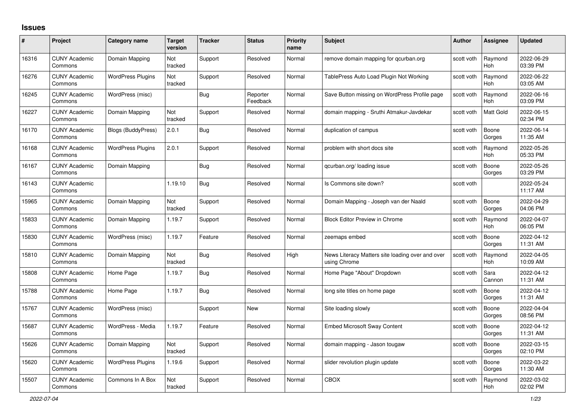## **Issues**

| #     | Project                         | Category name             | <b>Target</b><br>version | <b>Tracker</b> | <b>Status</b>        | <b>Priority</b><br>name | <b>Subject</b>                                                   | <b>Author</b> | <b>Assignee</b>       | <b>Updated</b>         |
|-------|---------------------------------|---------------------------|--------------------------|----------------|----------------------|-------------------------|------------------------------------------------------------------|---------------|-----------------------|------------------------|
| 16316 | <b>CUNY Academic</b><br>Commons | Domain Mapping            | Not<br>tracked           | Support        | Resolved             | Normal                  | remove domain mapping for gcurban.org                            | scott voth    | Raymond<br><b>Hoh</b> | 2022-06-29<br>03:39 PM |
| 16276 | <b>CUNY Academic</b><br>Commons | <b>WordPress Plugins</b>  | Not<br>tracked           | Support        | Resolved             | Normal                  | TablePress Auto Load Plugin Not Working                          | scott voth    | Raymond<br>Hoh        | 2022-06-22<br>03:05 AM |
| 16245 | <b>CUNY Academic</b><br>Commons | WordPress (misc)          |                          | Bug            | Reporter<br>Feedback | Normal                  | Save Button missing on WordPress Profile page                    | scott voth    | Raymond<br><b>Hoh</b> | 2022-06-16<br>03:09 PM |
| 16227 | <b>CUNY Academic</b><br>Commons | Domain Mapping            | Not<br>tracked           | Support        | Resolved             | Normal                  | domain mapping - Sruthi Atmakur-Javdekar                         | scott voth    | Matt Gold             | 2022-06-15<br>02:34 PM |
| 16170 | <b>CUNY Academic</b><br>Commons | <b>Blogs (BuddyPress)</b> | 2.0.1                    | Bug            | Resolved             | Normal                  | duplication of campus                                            | scott voth    | Boone<br>Gorges       | 2022-06-14<br>11:35 AM |
| 16168 | <b>CUNY Academic</b><br>Commons | <b>WordPress Plugins</b>  | 2.0.1                    | Support        | Resolved             | Normal                  | problem with short docs site                                     | scott voth    | Raymond<br>Hoh        | 2022-05-26<br>05:33 PM |
| 16167 | <b>CUNY Academic</b><br>Commons | Domain Mapping            |                          | <b>Bug</b>     | Resolved             | Normal                  | gcurban.org/loading issue                                        | scott voth    | Boone<br>Gorges       | 2022-05-26<br>03:29 PM |
| 16143 | <b>CUNY Academic</b><br>Commons |                           | 1.19.10                  | Bug            | Resolved             | Normal                  | Is Commons site down?                                            | scott voth    |                       | 2022-05-24<br>11:17 AM |
| 15965 | <b>CUNY Academic</b><br>Commons | Domain Mapping            | Not<br>tracked           | Support        | Resolved             | Normal                  | Domain Mapping - Joseph van der Naald                            | scott voth    | Boone<br>Gorges       | 2022-04-29<br>04:06 PM |
| 15833 | <b>CUNY Academic</b><br>Commons | Domain Mapping            | 1.19.7                   | Support        | Resolved             | Normal                  | <b>Block Editor Preview in Chrome</b>                            | scott voth    | Raymond<br>Hoh        | 2022-04-07<br>06:05 PM |
| 15830 | <b>CUNY Academic</b><br>Commons | WordPress (misc)          | 1.19.7                   | Feature        | Resolved             | Normal                  | zeemaps embed                                                    | scott voth    | Boone<br>Gorges       | 2022-04-12<br>11:31 AM |
| 15810 | <b>CUNY Academic</b><br>Commons | Domain Mapping            | Not<br>tracked           | <b>Bug</b>     | Resolved             | High                    | News Literacy Matters site loading over and over<br>using Chrome | scott voth    | Raymond<br>Hoh        | 2022-04-05<br>10:09 AM |
| 15808 | <b>CUNY Academic</b><br>Commons | Home Page                 | 1.19.7                   | <b>Bug</b>     | Resolved             | Normal                  | Home Page "About" Dropdown                                       | scott voth    | Sara<br>Cannon        | 2022-04-12<br>11:31 AM |
| 15788 | <b>CUNY Academic</b><br>Commons | Home Page                 | 1.19.7                   | Bug            | Resolved             | Normal                  | long site titles on home page                                    | scott voth    | Boone<br>Gorges       | 2022-04-12<br>11:31 AM |
| 15767 | <b>CUNY Academic</b><br>Commons | WordPress (misc)          |                          | Support        | <b>New</b>           | Normal                  | Site loading slowly                                              | scott voth    | Boone<br>Gorges       | 2022-04-04<br>08:56 PM |
| 15687 | <b>CUNY Academic</b><br>Commons | WordPress - Media         | 1.19.7                   | Feature        | Resolved             | Normal                  | <b>Embed Microsoft Sway Content</b>                              | scott voth    | Boone<br>Gorges       | 2022-04-12<br>11:31 AM |
| 15626 | <b>CUNY Academic</b><br>Commons | Domain Mapping            | Not<br>tracked           | Support        | Resolved             | Normal                  | domain mapping - Jason tougaw                                    | scott voth    | Boone<br>Gorges       | 2022-03-15<br>02:10 PM |
| 15620 | <b>CUNY Academic</b><br>Commons | <b>WordPress Plugins</b>  | 1.19.6                   | Support        | Resolved             | Normal                  | slider revolution plugin update                                  | scott voth    | Boone<br>Gorges       | 2022-03-22<br>11:30 AM |
| 15507 | <b>CUNY Academic</b><br>Commons | Commons In A Box          | Not<br>tracked           | Support        | Resolved             | Normal                  | <b>CBOX</b>                                                      | scott voth    | Raymond<br>Hoh        | 2022-03-02<br>02:02 PM |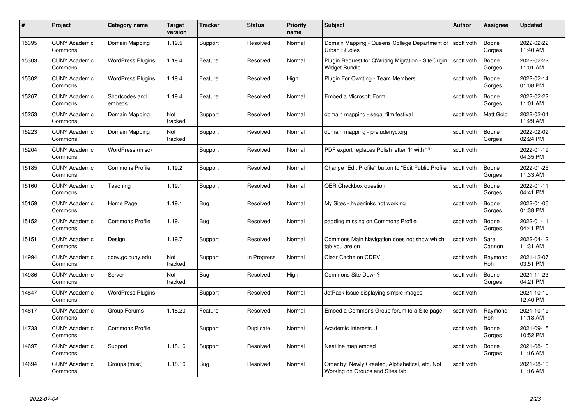| #     | Project                         | <b>Category name</b>     | Target<br>version     | <b>Tracker</b> | <b>Status</b> | <b>Priority</b><br>name | <b>Subject</b>                                                                     | <b>Author</b> | <b>Assignee</b>  | <b>Updated</b>         |
|-------|---------------------------------|--------------------------|-----------------------|----------------|---------------|-------------------------|------------------------------------------------------------------------------------|---------------|------------------|------------------------|
| 15395 | <b>CUNY Academic</b><br>Commons | Domain Mapping           | 1.19.5                | Support        | Resolved      | Normal                  | Domain Mapping - Queens College Department of<br><b>Urban Studies</b>              | scott voth    | Boone<br>Gorges  | 2022-02-22<br>11:40 AM |
| 15303 | <b>CUNY Academic</b><br>Commons | <b>WordPress Plugins</b> | 1.19.4                | Feature        | Resolved      | Normal                  | Plugin Request for QWriting Migration - SiteOrigin<br>Widget Bundle                | scott voth    | Boone<br>Gorges  | 2022-02-22<br>11:01 AM |
| 15302 | <b>CUNY Academic</b><br>Commons | <b>WordPress Plugins</b> | 1.19.4                | Feature        | Resolved      | High                    | Plugin For Qwriting - Team Members                                                 | scott voth    | Boone<br>Gorges  | 2022-02-14<br>01:08 PM |
| 15267 | <b>CUNY Academic</b><br>Commons | Shortcodes and<br>embeds | 1.19.4                | Feature        | Resolved      | Normal                  | Embed a Microsoft Form                                                             | scott voth    | Boone<br>Gorges  | 2022-02-22<br>11:01 AM |
| 15253 | <b>CUNY Academic</b><br>Commons | Domain Mapping           | <b>Not</b><br>tracked | Support        | Resolved      | Normal                  | domain mapping - segal film festival                                               | scott voth    | <b>Matt Gold</b> | 2022-02-04<br>11:29 AM |
| 15223 | <b>CUNY Academic</b><br>Commons | Domain Mapping           | Not<br>tracked        | Support        | Resolved      | Normal                  | domain mapping - preludenyc.org                                                    | scott voth    | Boone<br>Gorges  | 2022-02-02<br>02:24 PM |
| 15204 | <b>CUNY Academic</b><br>Commons | WordPress (misc)         |                       | Support        | Resolved      | Normal                  | PDF export replaces Polish letter "I" with "?"                                     | scott voth    |                  | 2022-01-19<br>04:35 PM |
| 15185 | <b>CUNY Academic</b><br>Commons | <b>Commons Profile</b>   | 1.19.2                | Support        | Resolved      | Normal                  | Change "Edit Profile" button to "Edit Public Profile"                              | scott voth    | Boone<br>Gorges  | 2022-01-25<br>11:33 AM |
| 15160 | <b>CUNY Academic</b><br>Commons | Teaching                 | 1.19.1                | Support        | Resolved      | Normal                  | <b>OER Checkbox question</b>                                                       | scott voth    | Boone<br>Gorges  | 2022-01-11<br>04:41 PM |
| 15159 | <b>CUNY Academic</b><br>Commons | Home Page                | 1.19.1                | Bug            | Resolved      | Normal                  | My Sites - hyperlinks not working                                                  | scott voth    | Boone<br>Gorges  | 2022-01-06<br>01:38 PM |
| 15152 | <b>CUNY Academic</b><br>Commons | <b>Commons Profile</b>   | 1.19.1                | Bug            | Resolved      | Normal                  | padding missing on Commons Profile                                                 | scott voth    | Boone<br>Gorges  | 2022-01-11<br>04:41 PM |
| 15151 | <b>CUNY Academic</b><br>Commons | Design                   | 1.19.7                | Support        | Resolved      | Normal                  | Commons Main Navigation does not show which<br>tab you are on                      | scott voth    | Sara<br>Cannon   | 2022-04-12<br>11:31 AM |
| 14994 | <b>CUNY Academic</b><br>Commons | cdev.gc.cuny.edu         | Not<br>tracked        | Support        | In Progress   | Normal                  | Clear Cache on CDEV                                                                | scott voth    | Raymond<br>Hoh   | 2021-12-07<br>03:51 PM |
| 14986 | <b>CUNY Academic</b><br>Commons | Server                   | Not<br>tracked        | <b>Bug</b>     | Resolved      | High                    | Commons Site Down?                                                                 | scott voth    | Boone<br>Gorges  | 2021-11-23<br>04:21 PM |
| 14847 | <b>CUNY Academic</b><br>Commons | <b>WordPress Plugins</b> |                       | Support        | Resolved      | Normal                  | JetPack Issue displaying simple images                                             | scott voth    |                  | 2021-10-10<br>12:40 PM |
| 14817 | <b>CUNY Academic</b><br>Commons | Group Forums             | 1.18.20               | Feature        | Resolved      | Normal                  | Embed a Commons Group forum to a Site page                                         | scott voth    | Raymond<br>Hoh   | 2021-10-12<br>11:13 AM |
| 14733 | <b>CUNY Academic</b><br>Commons | <b>Commons Profile</b>   |                       | Support        | Duplicate     | Normal                  | Academic Interests UI                                                              | scott voth    | Boone<br>Gorges  | 2021-09-15<br>10:52 PM |
| 14697 | <b>CUNY Academic</b><br>Commons | Support                  | 1.18.16               | Support        | Resolved      | Normal                  | Neatline map embed                                                                 | scott voth    | Boone<br>Gorges  | 2021-08-10<br>11:16 AM |
| 14694 | CUNY Academic<br>Commons        | Groups (misc)            | 1.18.16               | <b>Bug</b>     | Resolved      | Normal                  | Order by: Newly Created, Alphabetical, etc. Not<br>Working on Groups and Sites tab | scott voth    |                  | 2021-08-10<br>11:16 AM |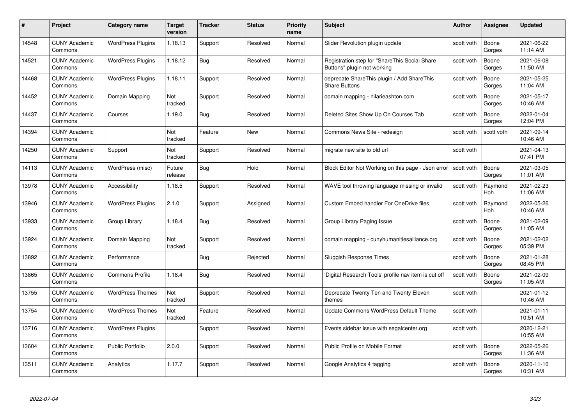| #     | Project                         | <b>Category name</b>     | Target<br>version     | <b>Tracker</b> | <b>Status</b> | <b>Priority</b><br>name | <b>Subject</b>                                                               | <b>Author</b> | <b>Assignee</b> | <b>Updated</b>         |
|-------|---------------------------------|--------------------------|-----------------------|----------------|---------------|-------------------------|------------------------------------------------------------------------------|---------------|-----------------|------------------------|
| 14548 | <b>CUNY Academic</b><br>Commons | <b>WordPress Plugins</b> | 1.18.13               | Support        | Resolved      | Normal                  | Slider Revolution plugin update                                              | scott voth    | Boone<br>Gorges | 2021-06-22<br>11:14 AM |
| 14521 | <b>CUNY Academic</b><br>Commons | <b>WordPress Plugins</b> | 1.18.12               | Bug            | Resolved      | Normal                  | Registration step for "ShareThis Social Share<br>Buttons" plugin not working | scott voth    | Boone<br>Gorges | 2021-06-08<br>11:50 AM |
| 14468 | <b>CUNY Academic</b><br>Commons | <b>WordPress Plugins</b> | 1.18.11               | Support        | Resolved      | Normal                  | deprecate ShareThis plugin / Add ShareThis<br><b>Share Buttons</b>           | scott voth    | Boone<br>Gorges | 2021-05-25<br>11:04 AM |
| 14452 | <b>CUNY Academic</b><br>Commons | Domain Mapping           | Not<br>tracked        | Support        | Resolved      | Normal                  | domain mapping - hilarieashton.com                                           | scott voth    | Boone<br>Gorges | 2021-05-17<br>10:46 AM |
| 14437 | CUNY Academic<br>Commons        | Courses                  | 1.19.0                | Bug            | Resolved      | Normal                  | Deleted Sites Show Up On Courses Tab                                         | scott voth    | Boone<br>Gorges | 2022-01-04<br>12:04 PM |
| 14394 | <b>CUNY Academic</b><br>Commons |                          | <b>Not</b><br>tracked | Feature        | <b>New</b>    | Normal                  | Commons News Site - redesign                                                 | scott voth    | scott voth      | 2021-09-14<br>10:46 AM |
| 14250 | <b>CUNY Academic</b><br>Commons | Support                  | Not<br>tracked        | Support        | Resolved      | Normal                  | migrate new site to old url                                                  | scott voth    |                 | 2021-04-13<br>07:41 PM |
| 14113 | <b>CUNY Academic</b><br>Commons | WordPress (misc)         | Future<br>release     | <b>Bug</b>     | Hold          | Normal                  | Block Editor Not Working on this page - Json error                           | scott voth    | Boone<br>Gorges | 2021-03-05<br>11:01 AM |
| 13978 | <b>CUNY Academic</b><br>Commons | Accessibility            | 1.18.5                | Support        | Resolved      | Normal                  | WAVE tool throwing language missing or invalid                               | scott voth    | Raymond<br>Hoh  | 2021-02-23<br>11:06 AM |
| 13946 | <b>CUNY Academic</b><br>Commons | <b>WordPress Plugins</b> | 2.1.0                 | Support        | Assigned      | Normal                  | <b>Custom Embed handler For OneDrive files</b>                               | scott voth    | Raymond<br>Hoh  | 2022-05-26<br>10:46 AM |
| 13933 | CUNY Academic<br>Commons        | Group Library            | 1.18.4                | Bug            | Resolved      | Normal                  | Group Library Paging Issue                                                   | scott voth    | Boone<br>Gorges | 2021-02-09<br>11:05 AM |
| 13924 | <b>CUNY Academic</b><br>Commons | Domain Mapping           | Not<br>tracked        | Support        | Resolved      | Normal                  | domain mapping - cunyhumanitiesalliance.org                                  | scott voth    | Boone<br>Gorges | 2021-02-02<br>05:39 PM |
| 13892 | <b>CUNY Academic</b><br>Commons | Performance              |                       | Bug            | Rejected      | Normal                  | Sluggish Response Times                                                      | scott voth    | Boone<br>Gorges | 2021-01-28<br>08:45 PM |
| 13865 | <b>CUNY Academic</b><br>Commons | <b>Commons Profile</b>   | 1.18.4                | <b>Bug</b>     | Resolved      | Normal                  | 'Digital Research Tools' profile nav item is cut off                         | scott voth    | Boone<br>Gorges | 2021-02-09<br>11:05 AM |
| 13755 | <b>CUNY Academic</b><br>Commons | <b>WordPress Themes</b>  | Not<br>tracked        | Support        | Resolved      | Normal                  | Deprecate Twenty Ten and Twenty Eleven<br>themes                             | scott voth    |                 | 2021-01-12<br>10:46 AM |
| 13754 | <b>CUNY Academic</b><br>Commons | <b>WordPress Themes</b>  | Not<br>tracked        | Feature        | Resolved      | Normal                  | Update Commons WordPress Default Theme                                       | scott voth    |                 | 2021-01-11<br>10:51 AM |
| 13716 | <b>CUNY Academic</b><br>Commons | <b>WordPress Plugins</b> |                       | Support        | Resolved      | Normal                  | Events sidebar issue with segalcenter.org                                    | scott voth    |                 | 2020-12-21<br>10:55 AM |
| 13604 | <b>CUNY Academic</b><br>Commons | <b>Public Portfolio</b>  | 2.0.0                 | Support        | Resolved      | Normal                  | Public Profile on Mobile Format                                              | scott voth    | Boone<br>Gorges | 2022-05-26<br>11:36 AM |
| 13511 | CUNY Academic<br>Commons        | Analytics                | 1.17.7                | Support        | Resolved      | Normal                  | Google Analytics 4 tagging                                                   | scott voth    | Boone<br>Gorges | 2020-11-10<br>10:31 AM |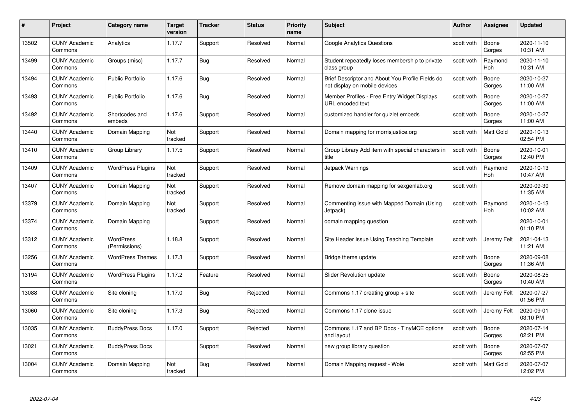| #     | Project                         | <b>Category name</b>              | Target<br>version | <b>Tracker</b> | <b>Status</b> | <b>Priority</b><br>name | <b>Subject</b>                                                                    | <b>Author</b> | <b>Assignee</b>       | <b>Updated</b>         |
|-------|---------------------------------|-----------------------------------|-------------------|----------------|---------------|-------------------------|-----------------------------------------------------------------------------------|---------------|-----------------------|------------------------|
| 13502 | <b>CUNY Academic</b><br>Commons | Analytics                         | 1.17.7            | Support        | Resolved      | Normal                  | <b>Google Analytics Questions</b>                                                 | scott voth    | Boone<br>Gorges       | 2020-11-10<br>10:31 AM |
| 13499 | <b>CUNY Academic</b><br>Commons | Groups (misc)                     | 1.17.7            | Bug            | Resolved      | Normal                  | Student repeatedly loses membership to private<br>class group                     | scott voth    | Raymond<br><b>Hoh</b> | 2020-11-10<br>10:31 AM |
| 13494 | <b>CUNY Academic</b><br>Commons | <b>Public Portfolio</b>           | 1.17.6            | <b>Bug</b>     | Resolved      | Normal                  | Brief Descriptor and About You Profile Fields do<br>not display on mobile devices | scott voth    | Boone<br>Gorges       | 2020-10-27<br>11:00 AM |
| 13493 | <b>CUNY Academic</b><br>Commons | <b>Public Portfolio</b>           | 1.17.6            | Bug            | Resolved      | Normal                  | Member Profiles - Free Entry Widget Displays<br>URL encoded text                  | scott voth    | Boone<br>Gorges       | 2020-10-27<br>11:00 AM |
| 13492 | <b>CUNY Academic</b><br>Commons | Shortcodes and<br>embeds          | 1.17.6            | Support        | Resolved      | Normal                  | customized handler for quizlet embeds                                             | scott voth    | Boone<br>Gorges       | 2020-10-27<br>11:00 AM |
| 13440 | <b>CUNY Academic</b><br>Commons | Domain Mapping                    | Not<br>tracked    | Support        | Resolved      | Normal                  | Domain mapping for morrisjustice.org                                              | scott voth    | Matt Gold             | 2020-10-13<br>02:54 PM |
| 13410 | <b>CUNY Academic</b><br>Commons | Group Library                     | 1.17.5            | Support        | Resolved      | Normal                  | Group Library Add item with special characters in<br>title                        | scott voth    | Boone<br>Gorges       | 2020-10-01<br>12:40 PM |
| 13409 | <b>CUNY Academic</b><br>Commons | <b>WordPress Plugins</b>          | Not<br>tracked    | Support        | Resolved      | Normal                  | Jetpack Warnings                                                                  | scott voth    | Raymond<br>Hoh        | 2020-10-13<br>10:47 AM |
| 13407 | <b>CUNY Academic</b><br>Commons | Domain Mapping                    | Not<br>tracked    | Support        | Resolved      | Normal                  | Remove domain mapping for sexgenlab.org                                           | scott voth    |                       | 2020-09-30<br>11:35 AM |
| 13379 | <b>CUNY Academic</b><br>Commons | Domain Mapping                    | Not<br>tracked    | Support        | Resolved      | Normal                  | Commenting issue with Mapped Domain (Using<br>Jetpack)                            | scott voth    | Raymond<br>Hoh        | 2020-10-13<br>10:02 AM |
| 13374 | CUNY Academic<br>Commons        | Domain Mapping                    |                   | Support        | Resolved      | Normal                  | domain mapping question                                                           | scott voth    |                       | 2020-10-01<br>01:10 PM |
| 13312 | <b>CUNY Academic</b><br>Commons | <b>WordPress</b><br>(Permissions) | 1.18.8            | Support        | Resolved      | Normal                  | Site Header Issue Using Teaching Template                                         | scott voth    | Jeremy Felt           | 2021-04-13<br>11:21 AM |
| 13256 | <b>CUNY Academic</b><br>Commons | <b>WordPress Themes</b>           | 1.17.3            | Support        | Resolved      | Normal                  | Bridge theme update                                                               | scott voth    | Boone<br>Gorges       | 2020-09-08<br>11:36 AM |
| 13194 | <b>CUNY Academic</b><br>Commons | <b>WordPress Plugins</b>          | 1.17.2            | Feature        | Resolved      | Normal                  | Slider Revolution update                                                          | scott voth    | Boone<br>Gorges       | 2020-08-25<br>10:40 AM |
| 13088 | <b>CUNY Academic</b><br>Commons | Site cloning                      | 1.17.0            | Bug            | Rejected      | Normal                  | Commons 1.17 creating group + site                                                | scott voth    | Jeremy Felt           | 2020-07-27<br>01:56 PM |
| 13060 | <b>CUNY Academic</b><br>Commons | Site cloning                      | 1.17.3            | Bug            | Rejected      | Normal                  | Commons 1.17 clone issue                                                          | scott voth    | Jeremy Felt           | 2020-09-01<br>03:10 PM |
| 13035 | <b>CUNY Academic</b><br>Commons | <b>BuddyPress Docs</b>            | 1.17.0            | Support        | Rejected      | Normal                  | Commons 1.17 and BP Docs - TinyMCE options<br>and layout                          | scott voth    | Boone<br>Gorges       | 2020-07-14<br>02:21 PM |
| 13021 | <b>CUNY Academic</b><br>Commons | <b>BuddyPress Docs</b>            |                   | Support        | Resolved      | Normal                  | new group library question                                                        | scott voth    | Boone<br>Gorges       | 2020-07-07<br>02:55 PM |
| 13004 | CUNY Academic<br>Commons        | Domain Mapping                    | Not<br>tracked    | Bug            | Resolved      | Normal                  | Domain Mapping request - Wole                                                     | scott voth    | Matt Gold             | 2020-07-07<br>12:02 PM |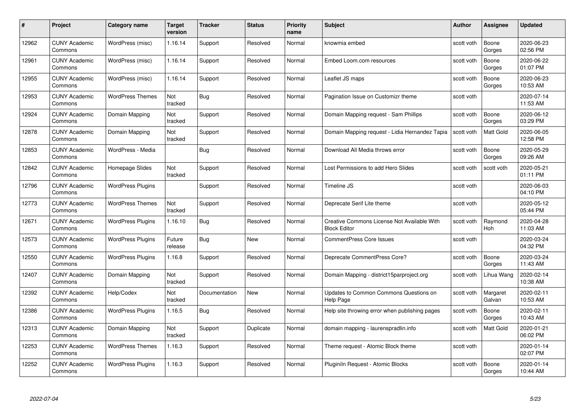| #     | Project                         | <b>Category name</b>     | Target<br>version | <b>Tracker</b> | <b>Status</b> | <b>Priority</b><br>name | <b>Subject</b>                                                     | <b>Author</b> | <b>Assignee</b>    | <b>Updated</b>         |
|-------|---------------------------------|--------------------------|-------------------|----------------|---------------|-------------------------|--------------------------------------------------------------------|---------------|--------------------|------------------------|
| 12962 | <b>CUNY Academic</b><br>Commons | WordPress (misc)         | 1.16.14           | Support        | Resolved      | Normal                  | knowmia embed                                                      | scott voth    | Boone<br>Gorges    | 2020-06-23<br>02:56 PM |
| 12961 | <b>CUNY Academic</b><br>Commons | WordPress (misc)         | 1.16.14           | Support        | Resolved      | Normal                  | Embed Loom.com resources                                           | scott voth    | Boone<br>Gorges    | 2020-06-22<br>01:07 PM |
| 12955 | <b>CUNY Academic</b><br>Commons | WordPress (misc)         | 1.16.14           | Support        | Resolved      | Normal                  | Leaflet JS maps                                                    | scott voth    | Boone<br>Gorges    | 2020-06-23<br>10:53 AM |
| 12953 | <b>CUNY Academic</b><br>Commons | <b>WordPress Themes</b>  | Not<br>tracked    | Bug            | Resolved      | Normal                  | Pagination Issue on Customizr theme                                | scott voth    |                    | 2020-07-14<br>11:53 AM |
| 12924 | <b>CUNY Academic</b><br>Commons | Domain Mapping           | Not<br>tracked    | Support        | Resolved      | Normal                  | Domain Mapping request - Sam Phillips                              | scott voth    | Boone<br>Gorges    | 2020-06-12<br>03:29 PM |
| 12878 | <b>CUNY Academic</b><br>Commons | Domain Mapping           | Not<br>tracked    | Support        | Resolved      | Normal                  | Domain Mapping request - Lidia Hernandez Tapia                     | scott voth    | Matt Gold          | 2020-06-05<br>12:58 PM |
| 12853 | <b>CUNY Academic</b><br>Commons | WordPress - Media        |                   | <b>Bug</b>     | Resolved      | Normal                  | Download All Media throws error                                    | scott voth    | Boone<br>Gorges    | 2020-05-29<br>09:26 AM |
| 12842 | <b>CUNY Academic</b><br>Commons | Homepage Slides          | Not<br>tracked    | Support        | Resolved      | Normal                  | Lost Permissions to add Hero Slides                                | scott voth    | scott voth         | 2020-05-21<br>01:11 PM |
| 12796 | <b>CUNY Academic</b><br>Commons | <b>WordPress Plugins</b> |                   | Support        | Resolved      | Normal                  | Timeline JS                                                        | scott voth    |                    | 2020-06-03<br>04:10 PM |
| 12773 | <b>CUNY Academic</b><br>Commons | <b>WordPress Themes</b>  | Not<br>tracked    | Support        | Resolved      | Normal                  | Deprecate Serif Lite theme                                         | scott voth    |                    | 2020-05-12<br>05:44 PM |
| 12671 | <b>CUNY Academic</b><br>Commons | <b>WordPress Plugins</b> | 1.16.10           | Bug            | Resolved      | Normal                  | Creative Commons License Not Available With<br><b>Block Editor</b> | scott voth    | Raymond<br>Hoh     | 2020-04-28<br>11:03 AM |
| 12573 | <b>CUNY Academic</b><br>Commons | <b>WordPress Plugins</b> | Future<br>release | Bug            | New           | Normal                  | <b>CommentPress Core Issues</b>                                    | scott voth    |                    | 2020-03-24<br>04:32 PM |
| 12550 | <b>CUNY Academic</b><br>Commons | <b>WordPress Plugins</b> | 1.16.8            | Support        | Resolved      | Normal                  | Deprecate CommentPress Core?                                       | scott voth    | Boone<br>Gorges    | 2020-03-24<br>11:43 AM |
| 12407 | <b>CUNY Academic</b><br>Commons | Domain Mapping           | Not<br>tracked    | Support        | Resolved      | Normal                  | Domain Mapping - district15parproject.org                          | scott voth    | Lihua Wang         | 2020-02-14<br>10:38 AM |
| 12392 | <b>CUNY Academic</b><br>Commons | Help/Codex               | Not<br>tracked    | Documentation  | New           | Normal                  | Updates to Common Commons Questions on<br>Help Page                | scott voth    | Margaret<br>Galvan | 2020-02-11<br>10:53 AM |
| 12386 | <b>CUNY Academic</b><br>Commons | <b>WordPress Plugins</b> | 1.16.5            | <b>Bug</b>     | Resolved      | Normal                  | Help site throwing error when publishing pages                     | scott voth    | Boone<br>Gorges    | 2020-02-11<br>10:43 AM |
| 12313 | <b>CUNY Academic</b><br>Commons | Domain Mapping           | Not<br>tracked    | Support        | Duplicate     | Normal                  | domain mapping - laurenspradlin.info                               | scott voth    | Matt Gold          | 2020-01-21<br>06:02 PM |
| 12253 | <b>CUNY Academic</b><br>Commons | <b>WordPress Themes</b>  | 1.16.3            | Support        | Resolved      | Normal                  | Theme request - Atomic Block theme                                 | scott voth    |                    | 2020-01-14<br>02:07 PM |
| 12252 | <b>CUNY Academic</b><br>Commons | <b>WordPress Plugins</b> | 1.16.3            | Support        | Resolved      | Normal                  | Pluginiln Request - Atomic Blocks                                  | scott voth    | Boone<br>Gorges    | 2020-01-14<br>10:44 AM |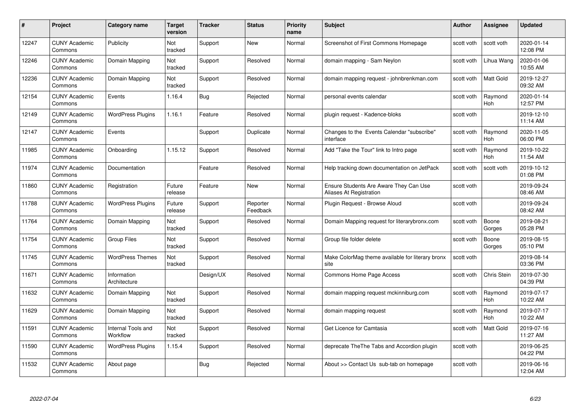| #     | Project                         | Category name                  | <b>Target</b><br>version | <b>Tracker</b> | <b>Status</b>        | <b>Priority</b><br>name | <b>Subject</b>                                                    | <b>Author</b> | Assignee              | <b>Updated</b>         |
|-------|---------------------------------|--------------------------------|--------------------------|----------------|----------------------|-------------------------|-------------------------------------------------------------------|---------------|-----------------------|------------------------|
| 12247 | <b>CUNY Academic</b><br>Commons | Publicity                      | Not<br>tracked           | Support        | <b>New</b>           | Normal                  | Screenshot of First Commons Homepage                              | scott voth    | scott voth            | 2020-01-14<br>12:08 PM |
| 12246 | <b>CUNY Academic</b><br>Commons | Domain Mapping                 | Not<br>tracked           | Support        | Resolved             | Normal                  | domain mapping - Sam Neylon                                       | scott voth    | Lihua Wang            | 2020-01-06<br>10:55 AM |
| 12236 | <b>CUNY Academic</b><br>Commons | Domain Mapping                 | Not<br>tracked           | Support        | Resolved             | Normal                  | domain mapping request - johnbrenkman.com                         | scott voth    | Matt Gold             | 2019-12-27<br>09:32 AM |
| 12154 | <b>CUNY Academic</b><br>Commons | Events                         | 1.16.4                   | Bug            | Rejected             | Normal                  | personal events calendar                                          | scott voth    | Raymond<br>Hoh        | 2020-01-14<br>12:57 PM |
| 12149 | <b>CUNY Academic</b><br>Commons | <b>WordPress Plugins</b>       | 1.16.1                   | Feature        | Resolved             | Normal                  | plugin request - Kadence-bloks                                    | scott voth    |                       | 2019-12-10<br>11:14 AM |
| 12147 | <b>CUNY Academic</b><br>Commons | Events                         |                          | Support        | Duplicate            | Normal                  | Changes to the Events Calendar "subscribe"<br>interface           | scott voth    | Raymond<br>Hoh        | 2020-11-05<br>06:00 PM |
| 11985 | <b>CUNY Academic</b><br>Commons | Onboarding                     | 1.15.12                  | Support        | Resolved             | Normal                  | Add "Take the Tour" link to Intro page                            | scott voth    | Raymond<br>Hoh        | 2019-10-22<br>11:54 AM |
| 11974 | <b>CUNY Academic</b><br>Commons | Documentation                  |                          | Feature        | Resolved             | Normal                  | Help tracking down documentation on JetPack                       | scott voth    | scott voth            | 2019-10-12<br>01:08 PM |
| 11860 | <b>CUNY Academic</b><br>Commons | Registration                   | Future<br>release        | Feature        | New                  | Normal                  | Ensure Students Are Aware They Can Use<br>Aliases At Registration | scott voth    |                       | 2019-09-24<br>08:46 AM |
| 11788 | <b>CUNY Academic</b><br>Commons | <b>WordPress Plugins</b>       | Future<br>release        | Support        | Reporter<br>Feedback | Normal                  | Plugin Request - Browse Aloud                                     | scott voth    |                       | 2019-09-24<br>08:42 AM |
| 11764 | <b>CUNY Academic</b><br>Commons | Domain Mapping                 | Not<br>tracked           | Support        | Resolved             | Normal                  | Domain Mapping request for literarybronx.com                      | scott voth    | Boone<br>Gorges       | 2019-08-21<br>05:28 PM |
| 11754 | <b>CUNY Academic</b><br>Commons | <b>Group Files</b>             | Not<br>tracked           | Support        | Resolved             | Normal                  | Group file folder delete                                          | scott voth    | Boone<br>Gorges       | 2019-08-15<br>05:10 PM |
| 11745 | <b>CUNY Academic</b><br>Commons | <b>WordPress Themes</b>        | Not<br>tracked           | Support        | Resolved             | Normal                  | Make ColorMag theme available for literary bronx<br>site          | scott voth    |                       | 2019-08-14<br>03:36 PM |
| 11671 | <b>CUNY Academic</b><br>Commons | Information<br>Architecture    |                          | Design/UX      | Resolved             | Normal                  | Commons Home Page Access                                          | scott voth    | Chris Stein           | 2019-07-30<br>04:39 PM |
| 11632 | <b>CUNY Academic</b><br>Commons | Domain Mapping                 | Not<br>tracked           | Support        | Resolved             | Normal                  | domain mapping request mckinniburg.com                            | scott voth    | Raymond<br><b>Hoh</b> | 2019-07-17<br>10:22 AM |
| 11629 | <b>CUNY Academic</b><br>Commons | Domain Mapping                 | Not<br>tracked           | Support        | Resolved             | Normal                  | domain mapping request                                            | scott voth    | Raymond<br>Hoh        | 2019-07-17<br>10:22 AM |
| 11591 | <b>CUNY Academic</b><br>Commons | Internal Tools and<br>Workflow | Not<br>tracked           | Support        | Resolved             | Normal                  | Get Licence for Camtasia                                          | scott voth    | <b>Matt Gold</b>      | 2019-07-16<br>11:27 AM |
| 11590 | <b>CUNY Academic</b><br>Commons | <b>WordPress Plugins</b>       | 1.15.4                   | Support        | Resolved             | Normal                  | deprecate The The Tabs and Accordion plugin                       | scott voth    |                       | 2019-06-25<br>04:22 PM |
| 11532 | <b>CUNY Academic</b><br>Commons | About page                     |                          | Bug            | Rejected             | Normal                  | About >> Contact Us sub-tab on homepage                           | scott voth    |                       | 2019-06-16<br>12:04 AM |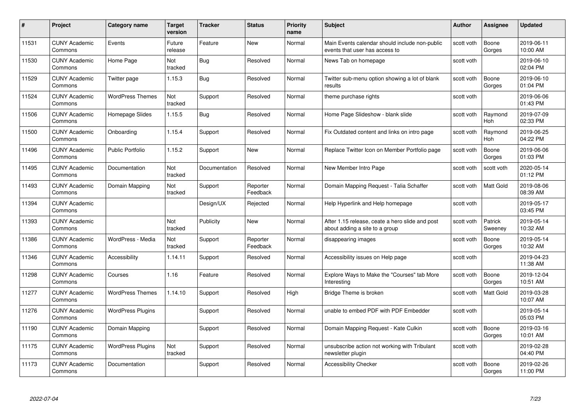| #     | Project                         | <b>Category name</b>     | Target<br>version | <b>Tracker</b> | <b>Status</b>        | <b>Priority</b><br>name | <b>Subject</b>                                                                    | <b>Author</b> | <b>Assignee</b>       | <b>Updated</b>         |
|-------|---------------------------------|--------------------------|-------------------|----------------|----------------------|-------------------------|-----------------------------------------------------------------------------------|---------------|-----------------------|------------------------|
| 11531 | <b>CUNY Academic</b><br>Commons | Events                   | Future<br>release | Feature        | <b>New</b>           | Normal                  | Main Events calendar should include non-public<br>events that user has access to  | scott voth    | Boone<br>Gorges       | 2019-06-11<br>10:00 AM |
| 11530 | <b>CUNY Academic</b><br>Commons | Home Page                | Not<br>tracked    | <b>Bug</b>     | Resolved             | Normal                  | News Tab on homepage                                                              | scott voth    |                       | 2019-06-10<br>02:04 PM |
| 11529 | <b>CUNY Academic</b><br>Commons | Twitter page             | 1.15.3            | <b>Bug</b>     | Resolved             | Normal                  | Twitter sub-menu option showing a lot of blank<br>results                         | scott voth    | Boone<br>Gorges       | 2019-06-10<br>01:04 PM |
| 11524 | <b>CUNY Academic</b><br>Commons | <b>WordPress Themes</b>  | Not<br>tracked    | Support        | Resolved             | Normal                  | theme purchase rights                                                             | scott voth    |                       | 2019-06-06<br>01:43 PM |
| 11506 | <b>CUNY Academic</b><br>Commons | Homepage Slides          | 1.15.5            | Bug            | Resolved             | Normal                  | Home Page Slideshow - blank slide                                                 | scott voth    | Raymond<br><b>Hoh</b> | 2019-07-09<br>02:33 PM |
| 11500 | <b>CUNY Academic</b><br>Commons | Onboarding               | 1.15.4            | Support        | Resolved             | Normal                  | Fix Outdated content and links on intro page                                      | scott voth    | Raymond<br>Hoh        | 2019-06-25<br>04:22 PM |
| 11496 | <b>CUNY Academic</b><br>Commons | <b>Public Portfolio</b>  | 1.15.2            | Support        | New                  | Normal                  | Replace Twitter Icon on Member Portfolio page                                     | scott voth    | Boone<br>Gorges       | 2019-06-06<br>01:03 PM |
| 11495 | <b>CUNY Academic</b><br>Commons | Documentation            | Not<br>tracked    | Documentation  | Resolved             | Normal                  | New Member Intro Page                                                             | scott voth    | scott voth            | 2020-05-14<br>01:12 PM |
| 11493 | <b>CUNY Academic</b><br>Commons | Domain Mapping           | Not<br>tracked    | Support        | Reporter<br>Feedback | Normal                  | Domain Mapping Request - Talia Schaffer                                           | scott voth    | Matt Gold             | 2019-08-06<br>08:39 AM |
| 11394 | <b>CUNY Academic</b><br>Commons |                          |                   | Design/UX      | Rejected             | Normal                  | Help Hyperlink and Help homepage                                                  | scott voth    |                       | 2019-05-17<br>03:45 PM |
| 11393 | CUNY Academic<br>Commons        |                          | Not<br>tracked    | Publicity      | New                  | Normal                  | After 1.15 release, ceate a hero slide and post<br>about adding a site to a group | scott voth    | Patrick<br>Sweeney    | 2019-05-14<br>10:32 AM |
| 11386 | <b>CUNY Academic</b><br>Commons | WordPress - Media        | Not<br>tracked    | Support        | Reporter<br>Feedback | Normal                  | disappearing images                                                               | scott voth    | Boone<br>Gorges       | 2019-05-14<br>10:32 AM |
| 11346 | <b>CUNY Academic</b><br>Commons | Accessibility            | 1.14.11           | Support        | Resolved             | Normal                  | Accessibility issues on Help page                                                 | scott voth    |                       | 2019-04-23<br>11:38 AM |
| 11298 | <b>CUNY Academic</b><br>Commons | Courses                  | 1.16              | Feature        | Resolved             | Normal                  | Explore Ways to Make the "Courses" tab More<br>Interesting                        | scott voth    | Boone<br>Gorges       | 2019-12-04<br>10:51 AM |
| 11277 | <b>CUNY Academic</b><br>Commons | <b>WordPress Themes</b>  | 1.14.10           | Support        | Resolved             | High                    | Bridge Theme is broken                                                            | scott voth    | Matt Gold             | 2019-03-28<br>10:07 AM |
| 11276 | <b>CUNY Academic</b><br>Commons | <b>WordPress Plugins</b> |                   | Support        | Resolved             | Normal                  | unable to embed PDF with PDF Embedder                                             | scott voth    |                       | 2019-05-14<br>05:03 PM |
| 11190 | <b>CUNY Academic</b><br>Commons | Domain Mapping           |                   | Support        | Resolved             | Normal                  | Domain Mapping Request - Kate Culkin                                              | scott voth    | Boone<br>Gorges       | 2019-03-16<br>10:01 AM |
| 11175 | <b>CUNY Academic</b><br>Commons | <b>WordPress Plugins</b> | Not<br>tracked    | Support        | Resolved             | Normal                  | unsubscribe action not working with Tribulant<br>newsletter plugin                | scott voth    |                       | 2019-02-28<br>04:40 PM |
| 11173 | <b>CUNY Academic</b><br>Commons | Documentation            |                   | Support        | Resolved             | Normal                  | <b>Accessibility Checker</b>                                                      | scott voth    | Boone<br>Gorges       | 2019-02-26<br>11:00 PM |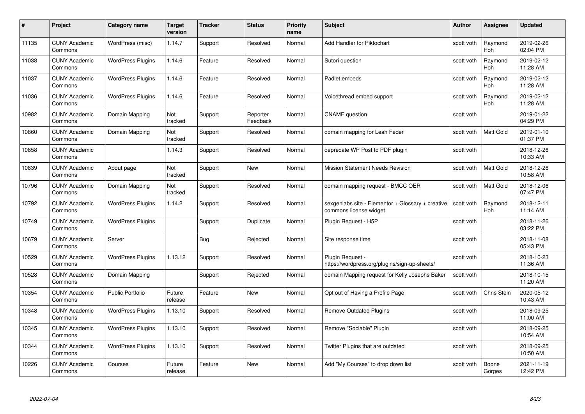| #     | Project                         | <b>Category name</b>     | Target<br>version | <b>Tracker</b> | <b>Status</b>        | <b>Priority</b><br>name | <b>Subject</b>                                                              | <b>Author</b> | <b>Assignee</b>       | <b>Updated</b>         |
|-------|---------------------------------|--------------------------|-------------------|----------------|----------------------|-------------------------|-----------------------------------------------------------------------------|---------------|-----------------------|------------------------|
| 11135 | <b>CUNY Academic</b><br>Commons | WordPress (misc)         | 1.14.7            | Support        | Resolved             | Normal                  | Add Handler for Piktochart                                                  | scott voth    | Raymond<br><b>Hoh</b> | 2019-02-26<br>02:04 PM |
| 11038 | <b>CUNY Academic</b><br>Commons | <b>WordPress Plugins</b> | 1.14.6            | Feature        | Resolved             | Normal                  | Sutori question                                                             | scott voth    | Raymond<br><b>Hoh</b> | 2019-02-12<br>11:28 AM |
| 11037 | <b>CUNY Academic</b><br>Commons | <b>WordPress Plugins</b> | 1.14.6            | Feature        | Resolved             | Normal                  | Padlet embeds                                                               | scott voth    | Raymond<br>Hoh        | 2019-02-12<br>11:28 AM |
| 11036 | <b>CUNY Academic</b><br>Commons | <b>WordPress Plugins</b> | 1.14.6            | Feature        | Resolved             | Normal                  | Voicethread embed support                                                   | scott voth    | Raymond<br>Hoh        | 2019-02-12<br>11:28 AM |
| 10982 | <b>CUNY Academic</b><br>Commons | Domain Mapping           | Not<br>tracked    | Support        | Reporter<br>Feedback | Normal                  | <b>CNAME</b> question                                                       | scott voth    |                       | 2019-01-22<br>04:29 PM |
| 10860 | <b>CUNY Academic</b><br>Commons | Domain Mapping           | Not<br>tracked    | Support        | Resolved             | Normal                  | domain mapping for Leah Feder                                               | scott voth    | Matt Gold             | 2019-01-10<br>01:37 PM |
| 10858 | <b>CUNY Academic</b><br>Commons |                          | 1.14.3            | Support        | Resolved             | Normal                  | deprecate WP Post to PDF plugin                                             | scott voth    |                       | 2018-12-26<br>10:33 AM |
| 10839 | <b>CUNY Academic</b><br>Commons | About page               | Not<br>tracked    | Support        | New                  | Normal                  | <b>Mission Statement Needs Revision</b>                                     | scott voth    | Matt Gold             | 2018-12-26<br>10:58 AM |
| 10796 | <b>CUNY Academic</b><br>Commons | Domain Mapping           | Not<br>tracked    | Support        | Resolved             | Normal                  | domain mapping request - BMCC OER                                           | scott voth    | Matt Gold             | 2018-12-06<br>07:47 PM |
| 10792 | <b>CUNY Academic</b><br>Commons | <b>WordPress Plugins</b> | 1.14.2            | Support        | Resolved             | Normal                  | sexgenlabs site - Elementor + Glossary + creative<br>commons license widget | scott voth    | Raymond<br>Hoh        | 2018-12-11<br>11:14 AM |
| 10749 | CUNY Academic<br>Commons        | <b>WordPress Plugins</b> |                   | Support        | Duplicate            | Normal                  | Plugin Request - H5P                                                        | scott voth    |                       | 2018-11-26<br>03:22 PM |
| 10679 | <b>CUNY Academic</b><br>Commons | Server                   |                   | Bug            | Rejected             | Normal                  | Site response time                                                          | scott voth    |                       | 2018-11-08<br>05:43 PM |
| 10529 | <b>CUNY Academic</b><br>Commons | <b>WordPress Plugins</b> | 1.13.12           | Support        | Resolved             | Normal                  | Plugin Request -<br>https://wordpress.org/plugins/sign-up-sheets/           | scott voth    |                       | 2018-10-23<br>11:36 AM |
| 10528 | <b>CUNY Academic</b><br>Commons | Domain Mapping           |                   | Support        | Rejected             | Normal                  | domain Mapping request for Kelly Josephs Baker                              | scott voth    |                       | 2018-10-15<br>11:20 AM |
| 10354 | <b>CUNY Academic</b><br>Commons | Public Portfolio         | Future<br>release | Feature        | <b>New</b>           | Normal                  | Opt out of Having a Profile Page                                            | scott voth    | Chris Stein           | 2020-05-12<br>10:43 AM |
| 10348 | <b>CUNY Academic</b><br>Commons | <b>WordPress Plugins</b> | 1.13.10           | Support        | Resolved             | Normal                  | <b>Remove Outdated Plugins</b>                                              | scott voth    |                       | 2018-09-25<br>11:00 AM |
| 10345 | <b>CUNY Academic</b><br>Commons | <b>WordPress Plugins</b> | 1.13.10           | Support        | Resolved             | Normal                  | Remove "Sociable" Plugin                                                    | scott voth    |                       | 2018-09-25<br>10:54 AM |
| 10344 | <b>CUNY Academic</b><br>Commons | <b>WordPress Plugins</b> | 1.13.10           | Support        | Resolved             | Normal                  | Twitter Plugins that are outdated                                           | scott voth    |                       | 2018-09-25<br>10:50 AM |
| 10226 | <b>CUNY Academic</b><br>Commons | Courses                  | Future<br>release | Feature        | <b>New</b>           | Normal                  | Add "My Courses" to drop down list                                          | scott voth    | Boone<br>Gorges       | 2021-11-19<br>12:42 PM |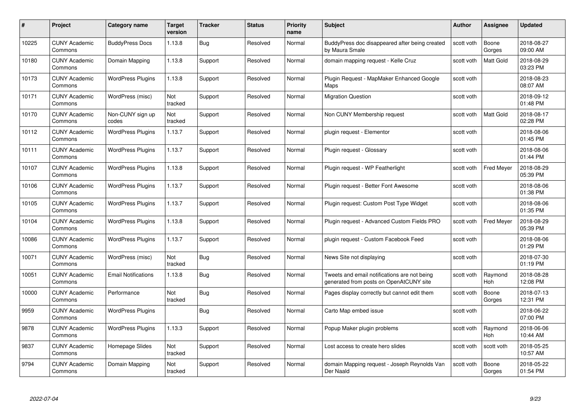| #     | Project                         | <b>Category name</b>       | Target<br>version | <b>Tracker</b> | <b>Status</b> | <b>Priority</b><br>name | <b>Subject</b>                                                                          | <b>Author</b> | <b>Assignee</b>   | <b>Updated</b>         |
|-------|---------------------------------|----------------------------|-------------------|----------------|---------------|-------------------------|-----------------------------------------------------------------------------------------|---------------|-------------------|------------------------|
| 10225 | <b>CUNY Academic</b><br>Commons | <b>BuddyPress Docs</b>     | 1.13.8            | Bug            | Resolved      | Normal                  | BuddyPress doc disappeared after being created<br>by Maura Smale                        | scott voth    | Boone<br>Gorges   | 2018-08-27<br>09:00 AM |
| 10180 | <b>CUNY Academic</b><br>Commons | Domain Mapping             | 1.13.8            | Support        | Resolved      | Normal                  | domain mapping request - Kelle Cruz                                                     | scott voth    | <b>Matt Gold</b>  | 2018-08-29<br>03:23 PM |
| 10173 | <b>CUNY Academic</b><br>Commons | <b>WordPress Plugins</b>   | 1.13.8            | Support        | Resolved      | Normal                  | Plugin Reguest - MapMaker Enhanced Google<br>Maps                                       | scott voth    |                   | 2018-08-23<br>08:07 AM |
| 10171 | <b>CUNY Academic</b><br>Commons | WordPress (misc)           | Not<br>tracked    | Support        | Resolved      | Normal                  | <b>Migration Question</b>                                                               | scott voth    |                   | 2018-09-12<br>01:48 PM |
| 10170 | <b>CUNY Academic</b><br>Commons | Non-CUNY sign up<br>codes  | Not<br>tracked    | Support        | Resolved      | Normal                  | Non CUNY Membership request                                                             | scott voth    | <b>Matt Gold</b>  | 2018-08-17<br>02:28 PM |
| 10112 | <b>CUNY Academic</b><br>Commons | <b>WordPress Plugins</b>   | 1.13.7            | Support        | Resolved      | Normal                  | plugin request - Elementor                                                              | scott voth    |                   | 2018-08-06<br>01:45 PM |
| 10111 | <b>CUNY Academic</b><br>Commons | <b>WordPress Plugins</b>   | 1.13.7            | Support        | Resolved      | Normal                  | Plugin request - Glossary                                                               | scott voth    |                   | 2018-08-06<br>01:44 PM |
| 10107 | <b>CUNY Academic</b><br>Commons | <b>WordPress Plugins</b>   | 1.13.8            | Support        | Resolved      | Normal                  | Plugin request - WP Featherlight                                                        | scott voth    | <b>Fred Meyer</b> | 2018-08-29<br>05:39 PM |
| 10106 | <b>CUNY Academic</b><br>Commons | <b>WordPress Plugins</b>   | 1.13.7            | Support        | Resolved      | Normal                  | Plugin request - Better Font Awesome                                                    | scott voth    |                   | 2018-08-06<br>01:38 PM |
| 10105 | <b>CUNY Academic</b><br>Commons | <b>WordPress Plugins</b>   | 1.13.7            | Support        | Resolved      | Normal                  | Plugin request: Custom Post Type Widget                                                 | scott voth    |                   | 2018-08-06<br>01:35 PM |
| 10104 | CUNY Academic<br>Commons        | <b>WordPress Plugins</b>   | 1.13.8            | Support        | Resolved      | Normal                  | Plugin request - Advanced Custom Fields PRO                                             | scott voth    | <b>Fred Meyer</b> | 2018-08-29<br>05:39 PM |
| 10086 | <b>CUNY Academic</b><br>Commons | <b>WordPress Plugins</b>   | 1.13.7            | Support        | Resolved      | Normal                  | plugin request - Custom Facebook Feed                                                   | scott voth    |                   | 2018-08-06<br>01:29 PM |
| 10071 | <b>CUNY Academic</b><br>Commons | WordPress (misc)           | Not<br>tracked    | <b>Bug</b>     | Resolved      | Normal                  | News Site not displaying                                                                | scott voth    |                   | 2018-07-30<br>01:19 PM |
| 10051 | <b>CUNY Academic</b><br>Commons | <b>Email Notifications</b> | 1.13.8            | <b>Bug</b>     | Resolved      | Normal                  | Tweets and email notifications are not being<br>generated from posts on OpenAtCUNY site | scott voth    | Raymond<br>Hoh    | 2018-08-28<br>12:08 PM |
| 10000 | <b>CUNY Academic</b><br>Commons | Performance                | Not<br>tracked    | <b>Bug</b>     | Resolved      | Normal                  | Pages display correctly but cannot edit them                                            | scott voth    | Boone<br>Gorges   | 2018-07-13<br>12:31 PM |
| 9959  | <b>CUNY Academic</b><br>Commons | <b>WordPress Plugins</b>   |                   | <b>Bug</b>     | Resolved      | Normal                  | Carto Map embed issue                                                                   | scott voth    |                   | 2018-06-22<br>07:00 PM |
| 9878  | <b>CUNY Academic</b><br>Commons | <b>WordPress Plugins</b>   | 1.13.3            | Support        | Resolved      | Normal                  | Popup Maker plugin problems                                                             | scott voth    | Raymond<br>Hoh    | 2018-06-06<br>10:44 AM |
| 9837  | <b>CUNY Academic</b><br>Commons | Homepage Slides            | Not<br>tracked    | Support        | Resolved      | Normal                  | Lost access to create hero slides                                                       | scott voth    | scott voth        | 2018-05-25<br>10:57 AM |
| 9794  | <b>CUNY Academic</b><br>Commons | Domain Mapping             | Not<br>tracked    | Support        | Resolved      | Normal                  | domain Mapping request - Joseph Reynolds Van<br>Der Naald                               | scott voth    | Boone<br>Gorges   | 2018-05-22<br>01:54 PM |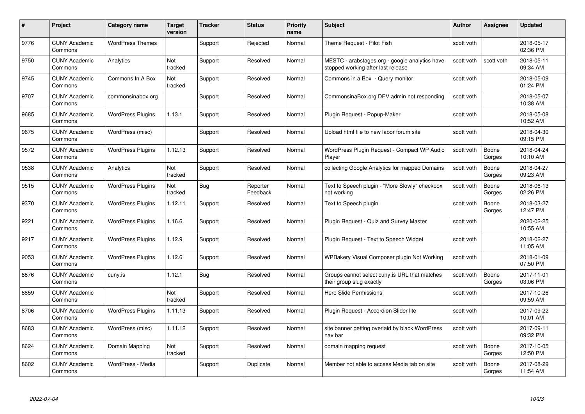| #    | Project                         | <b>Category name</b>     | Target<br>version | <b>Tracker</b> | <b>Status</b>        | <b>Priority</b><br>name | <b>Subject</b>                                                                       | <b>Author</b> | <b>Assignee</b> | <b>Updated</b>         |
|------|---------------------------------|--------------------------|-------------------|----------------|----------------------|-------------------------|--------------------------------------------------------------------------------------|---------------|-----------------|------------------------|
| 9776 | <b>CUNY Academic</b><br>Commons | <b>WordPress Themes</b>  |                   | Support        | Rejected             | Normal                  | Theme Request - Pilot Fish                                                           | scott voth    |                 | 2018-05-17<br>02:36 PM |
| 9750 | <b>CUNY Academic</b><br>Commons | Analytics                | Not<br>tracked    | Support        | Resolved             | Normal                  | MESTC - arabstages.org - google analytics have<br>stopped working after last release | scott voth    | scott voth      | 2018-05-11<br>09:34 AM |
| 9745 | <b>CUNY Academic</b><br>Commons | Commons In A Box         | Not<br>tracked    | Support        | Resolved             | Normal                  | Commons in a Box - Query monitor                                                     | scott voth    |                 | 2018-05-09<br>01:24 PM |
| 9707 | <b>CUNY Academic</b><br>Commons | commonsinabox.org        |                   | Support        | Resolved             | Normal                  | CommonsinaBox.org DEV admin not responding                                           | scott voth    |                 | 2018-05-07<br>10:38 AM |
| 9685 | CUNY Academic<br>Commons        | <b>WordPress Plugins</b> | 1.13.1            | Support        | Resolved             | Normal                  | Plugin Request - Popup-Maker                                                         | scott voth    |                 | 2018-05-08<br>10:52 AM |
| 9675 | <b>CUNY Academic</b><br>Commons | WordPress (misc)         |                   | Support        | Resolved             | Normal                  | Upload html file to new labor forum site                                             | scott voth    |                 | 2018-04-30<br>09:15 PM |
| 9572 | <b>CUNY Academic</b><br>Commons | <b>WordPress Plugins</b> | 1.12.13           | Support        | Resolved             | Normal                  | WordPress Plugin Request - Compact WP Audio<br>Player                                | scott voth    | Boone<br>Gorges | 2018-04-24<br>10:10 AM |
| 9538 | <b>CUNY Academic</b><br>Commons | Analytics                | Not<br>tracked    | Support        | Resolved             | Normal                  | collecting Google Analytics for mapped Domains                                       | scott voth    | Boone<br>Gorges | 2018-04-27<br>09:23 AM |
| 9515 | <b>CUNY Academic</b><br>Commons | <b>WordPress Plugins</b> | Not<br>tracked    | <b>Bug</b>     | Reporter<br>Feedback | Normal                  | Text to Speech plugin - "More Slowly" checkbox<br>not working                        | scott voth    | Boone<br>Gorges | 2018-06-13<br>02:26 PM |
| 9370 | <b>CUNY Academic</b><br>Commons | <b>WordPress Plugins</b> | 1.12.11           | Support        | Resolved             | Normal                  | Text to Speech plugin                                                                | scott voth    | Boone<br>Gorges | 2018-03-27<br>12:47 PM |
| 9221 | CUNY Academic<br>Commons        | <b>WordPress Plugins</b> | 1.16.6            | Support        | Resolved             | Normal                  | Plugin Request - Quiz and Survey Master                                              | scott voth    |                 | 2020-02-25<br>10:55 AM |
| 9217 | <b>CUNY Academic</b><br>Commons | <b>WordPress Plugins</b> | 1.12.9            | Support        | Resolved             | Normal                  | Plugin Request - Text to Speech Widget                                               | scott voth    |                 | 2018-02-27<br>11:05 AM |
| 9053 | <b>CUNY Academic</b><br>Commons | <b>WordPress Plugins</b> | 1.12.6            | Support        | Resolved             | Normal                  | WPBakery Visual Composer plugin Not Working                                          | scott voth    |                 | 2018-01-09<br>07:50 PM |
| 8876 | <b>CUNY Academic</b><br>Commons | cuny.is                  | 1.12.1            | <b>Bug</b>     | Resolved             | Normal                  | Groups cannot select cuny is URL that matches<br>their group slug exactly            | scott voth    | Boone<br>Gorges | 2017-11-01<br>03:06 PM |
| 8859 | <b>CUNY Academic</b><br>Commons |                          | Not<br>tracked    | Support        | Resolved             | Normal                  | Hero Slide Permissions                                                               | scott voth    |                 | 2017-10-26<br>09:59 AM |
| 8706 | <b>CUNY Academic</b><br>Commons | <b>WordPress Plugins</b> | 1.11.13           | Support        | Resolved             | Normal                  | Plugin Request - Accordion Slider lite                                               | scott voth    |                 | 2017-09-22<br>10:01 AM |
| 8683 | <b>CUNY Academic</b><br>Commons | WordPress (misc)         | 1.11.12           | Support        | Resolved             | Normal                  | site banner getting overlaid by black WordPress<br>nav bar                           | scott voth    |                 | 2017-09-11<br>09:32 PM |
| 8624 | <b>CUNY Academic</b><br>Commons | Domain Mapping           | Not<br>tracked    | Support        | Resolved             | Normal                  | domain mapping request                                                               | scott voth    | Boone<br>Gorges | 2017-10-05<br>12:50 PM |
| 8602 | CUNY Academic<br>Commons        | WordPress - Media        |                   | Support        | Duplicate            | Normal                  | Member not able to access Media tab on site                                          | scott voth    | Boone<br>Gorges | 2017-08-29<br>11:54 AM |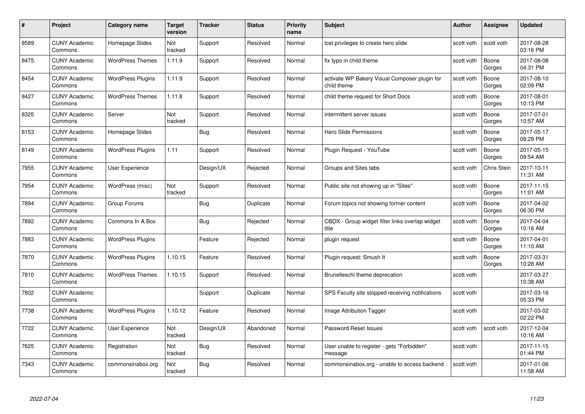| #    | Project                         | <b>Category name</b>     | Target<br>version | <b>Tracker</b> | <b>Status</b> | <b>Priority</b><br>name | <b>Subject</b>                                               | <b>Author</b> | <b>Assignee</b> | <b>Updated</b>         |
|------|---------------------------------|--------------------------|-------------------|----------------|---------------|-------------------------|--------------------------------------------------------------|---------------|-----------------|------------------------|
| 8589 | <b>CUNY Academic</b><br>Commons | Homepage Slides          | Not<br>tracked    | Support        | Resolved      | Normal                  | lost privileges to create hero slide                         | scott voth    | scott voth      | 2017-08-28<br>03:16 PM |
| 8475 | <b>CUNY Academic</b><br>Commons | <b>WordPress Themes</b>  | 1.11.9            | Support        | Resolved      | Normal                  | fix typo in child theme                                      | scott voth    | Boone<br>Gorges | 2017-08-08<br>04:31 PM |
| 8454 | <b>CUNY Academic</b><br>Commons | <b>WordPress Plugins</b> | 1.11.9            | Support        | Resolved      | Normal                  | activate WP Bakery Visual Composer plugin for<br>child theme | scott voth    | Boone<br>Gorges | 2017-08-10<br>02:09 PM |
| 8427 | <b>CUNY Academic</b><br>Commons | <b>WordPress Themes</b>  | 1.11.8            | Support        | Resolved      | Normal                  | child theme request for Short Docs                           | scott voth    | Boone<br>Gorges | 2017-08-01<br>10:13 PM |
| 8325 | <b>CUNY Academic</b><br>Commons | Server                   | Not<br>tracked    | Support        | Resolved      | Normal                  | intermittent server issues                                   | scott voth    | Boone<br>Gorges | 2017-07-01<br>10:57 AM |
| 8153 | <b>CUNY Academic</b><br>Commons | Homepage Slides          |                   | Bug            | Resolved      | Normal                  | Hero Slide Permissions                                       | scott voth    | Boone<br>Gorges | 2017-05-17<br>08:29 PM |
| 8149 | <b>CUNY Academic</b><br>Commons | <b>WordPress Plugins</b> | 1.11              | Support        | Resolved      | Normal                  | Plugin Request - YouTube                                     | scott voth    | Boone<br>Gorges | 2017-05-15<br>09:54 AM |
| 7955 | <b>CUNY Academic</b><br>Commons | <b>User Experience</b>   |                   | Design/UX      | Rejected      | Normal                  | Groups and Sites tabs                                        | scott voth    | Chris Stein     | 2017-10-11<br>11:31 AM |
| 7954 | <b>CUNY Academic</b><br>Commons | WordPress (misc)         | Not<br>tracked    | Support        | Resolved      | Normal                  | Public site not showing up in "Sites"                        | scott voth    | Boone<br>Gorges | 2017-11-15<br>11:01 AM |
| 7894 | <b>CUNY Academic</b><br>Commons | Group Forums             |                   | Bug            | Duplicate     | Normal                  | Forum topics not showing former content                      | scott voth    | Boone<br>Gorges | 2017-04-02<br>06:30 PM |
| 7892 | CUNY Academic<br>Commons        | Commons In A Box         |                   | Bug            | Rejected      | Normal                  | CBOX - Group widget filter links overlap widget<br>title     | scott voth    | Boone<br>Gorges | 2017-04-04<br>10:16 AM |
| 7883 | <b>CUNY Academic</b><br>Commons | <b>WordPress Plugins</b> |                   | Feature        | Rejected      | Normal                  | plugin request                                               | scott voth    | Boone<br>Gorges | 2017-04-01<br>11:10 AM |
| 7870 | <b>CUNY Academic</b><br>Commons | <b>WordPress Plugins</b> | 1.10.15           | Feature        | Resolved      | Normal                  | Plugin request: Smush It                                     | scott voth    | Boone<br>Gorges | 2017-03-31<br>10:28 AM |
| 7810 | <b>CUNY Academic</b><br>Commons | <b>WordPress Themes</b>  | 1.10.15           | Support        | Resolved      | Normal                  | Brunelleschi theme deprecation                               | scott voth    |                 | 2017-03-27<br>10:38 AM |
| 7802 | <b>CUNY Academic</b><br>Commons |                          |                   | Support        | Duplicate     | Normal                  | SPS Faculty site stopped receiving notifications             | scott voth    |                 | 2017-03-16<br>05:33 PM |
| 7738 | <b>CUNY Academic</b><br>Commons | <b>WordPress Plugins</b> | 1.10.12           | Feature        | Resolved      | Normal                  | Image Attribution Tagger                                     | scott voth    |                 | 2017-03-02<br>02:22 PM |
| 7722 | <b>CUNY Academic</b><br>Commons | User Experience          | Not<br>tracked    | Design/UX      | Abandoned     | Normal                  | Password Reset Issues                                        | scott voth    | scott voth      | 2017-12-04<br>10:16 AM |
| 7625 | <b>CUNY Academic</b><br>Commons | Registration             | Not<br>tracked    | <b>Bug</b>     | Resolved      | Normal                  | User unable to register - gets "Forbidden"<br>message        | scott voth    |                 | 2017-11-15<br>01:44 PM |
| 7343 | CUNY Academic<br>Commons        | commonsinabox.org        | Not<br>tracked    | <b>Bug</b>     | Resolved      | Normal                  | commonsinabox.org - unable to access backend                 | scott voth    |                 | 2017-01-06<br>11:58 AM |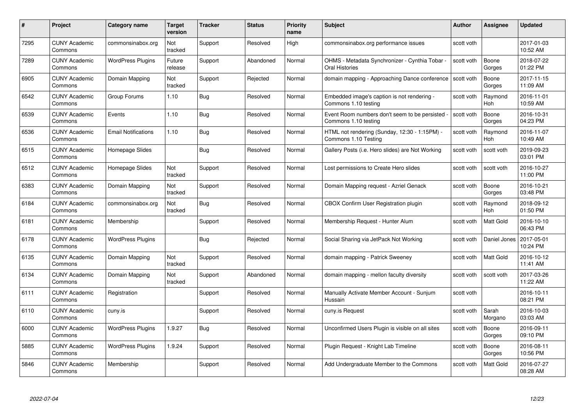| #    | Project                         | Category name              | Target<br>version | <b>Tracker</b> | <b>Status</b> | <b>Priority</b><br>name | <b>Subject</b>                                                        | <b>Author</b> | <b>Assignee</b>       | <b>Updated</b>         |
|------|---------------------------------|----------------------------|-------------------|----------------|---------------|-------------------------|-----------------------------------------------------------------------|---------------|-----------------------|------------------------|
| 7295 | <b>CUNY Academic</b><br>Commons | commonsinabox.org          | Not<br>tracked    | Support        | Resolved      | High                    | commonsinabox.org performance issues                                  | scott voth    |                       | 2017-01-03<br>10:52 AM |
| 7289 | <b>CUNY Academic</b><br>Commons | <b>WordPress Plugins</b>   | Future<br>release | Support        | Abandoned     | Normal                  | OHMS - Metadata Synchronizer - Cynthia Tobar<br>Oral Histories        | scott voth    | Boone<br>Gorges       | 2018-07-22<br>01:22 PM |
| 6905 | <b>CUNY Academic</b><br>Commons | Domain Mapping             | Not<br>tracked    | Support        | Rejected      | Normal                  | domain mapping - Approaching Dance conference                         | scott voth    | Boone<br>Gorges       | 2017-11-15<br>11:09 AM |
| 6542 | <b>CUNY Academic</b><br>Commons | Group Forums               | 1.10              | Bug            | Resolved      | Normal                  | Embedded image's caption is not rendering -<br>Commons 1.10 testing   | scott voth    | Raymond<br><b>Hoh</b> | 2016-11-01<br>10:59 AM |
| 6539 | <b>CUNY Academic</b><br>Commons | Events                     | 1.10              | Bug            | Resolved      | Normal                  | Event Room numbers don't seem to be persisted<br>Commons 1.10 testing | scott voth    | Boone<br>Gorges       | 2016-10-31<br>04:23 PM |
| 6536 | <b>CUNY Academic</b><br>Commons | <b>Email Notifications</b> | 1.10              | Bug            | Resolved      | Normal                  | HTML not rendering (Sunday, 12:30 - 1:15PM) -<br>Commons 1.10 Testing | scott voth    | Raymond<br>Hoh        | 2016-11-07<br>10:49 AM |
| 6515 | <b>CUNY Academic</b><br>Commons | Homepage Slides            |                   | <b>Bug</b>     | Resolved      | Normal                  | Gallery Posts (i.e. Hero slides) are Not Working                      | scott voth    | scott voth            | 2019-09-23<br>03:01 PM |
| 6512 | <b>CUNY Academic</b><br>Commons | Homepage Slides            | Not<br>tracked    | Support        | Resolved      | Normal                  | Lost permissions to Create Hero slides                                | scott voth    | scott voth            | 2016-10-27<br>11:00 PM |
| 6383 | <b>CUNY Academic</b><br>Commons | Domain Mapping             | Not<br>tracked    | Support        | Resolved      | Normal                  | Domain Mapping request - Azriel Genack                                | scott voth    | Boone<br>Gorges       | 2016-10-21<br>03:48 PM |
| 6184 | <b>CUNY Academic</b><br>Commons | commonsinabox.org          | Not<br>tracked    | Bug            | Resolved      | Normal                  | CBOX Confirm User Registration plugin                                 | scott voth    | Raymond<br>Hoh        | 2018-09-12<br>01:50 PM |
| 6181 | <b>CUNY Academic</b><br>Commons | Membership                 |                   | Support        | Resolved      | Normal                  | Membership Request - Hunter Alum                                      | scott voth    | Matt Gold             | 2016-10-10<br>06:43 PM |
| 6178 | <b>CUNY Academic</b><br>Commons | <b>WordPress Plugins</b>   |                   | Bug            | Rejected      | Normal                  | Social Sharing via JetPack Not Working                                | scott voth    | Daniel Jones          | 2017-05-01<br>10:24 PM |
| 6135 | <b>CUNY Academic</b><br>Commons | Domain Mapping             | Not<br>tracked    | Support        | Resolved      | Normal                  | domain mapping - Patrick Sweeney                                      | scott voth    | <b>Matt Gold</b>      | 2016-10-12<br>11:41 AM |
| 6134 | <b>CUNY Academic</b><br>Commons | Domain Mapping             | Not<br>tracked    | Support        | Abandoned     | Normal                  | domain mapping - mellon faculty diversity                             | scott voth    | scott voth            | 2017-03-26<br>11:22 AM |
| 6111 | <b>CUNY Academic</b><br>Commons | Registration               |                   | Support        | Resolved      | Normal                  | Manually Activate Member Account - Sunjum<br>Hussain                  | scott voth    |                       | 2016-10-11<br>08:21 PM |
| 6110 | <b>CUNY Academic</b><br>Commons | cuny.is                    |                   | Support        | Resolved      | Normal                  | cuny.is Request                                                       | scott voth    | Sarah<br>Morgano      | 2016-10-03<br>03:03 AM |
| 6000 | <b>CUNY Academic</b><br>Commons | <b>WordPress Plugins</b>   | 1.9.27            | <b>Bug</b>     | Resolved      | Normal                  | Unconfirmed Users Plugin is visible on all sites                      | scott voth    | Boone<br>Gorges       | 2016-09-11<br>09:10 PM |
| 5885 | <b>CUNY Academic</b><br>Commons | <b>WordPress Plugins</b>   | 1.9.24            | Support        | Resolved      | Normal                  | Plugin Request - Knight Lab Timeline                                  | scott voth    | Boone<br>Gorges       | 2016-08-11<br>10:56 PM |
| 5846 | <b>CUNY Academic</b><br>Commons | Membership                 |                   | Support        | Resolved      | Normal                  | Add Undergraduate Member to the Commons                               | scott voth    | <b>Matt Gold</b>      | 2016-07-27<br>08:28 AM |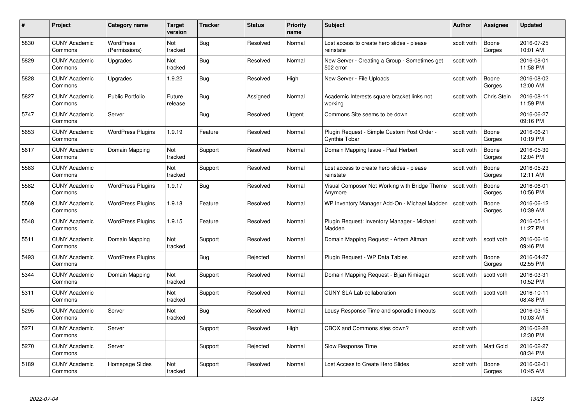| #    | Project                         | <b>Category name</b>              | Target<br>version     | <b>Tracker</b> | <b>Status</b> | <b>Priority</b><br>name | <b>Subject</b>                                               | <b>Author</b> | <b>Assignee</b>    | <b>Updated</b>         |
|------|---------------------------------|-----------------------------------|-----------------------|----------------|---------------|-------------------------|--------------------------------------------------------------|---------------|--------------------|------------------------|
| 5830 | <b>CUNY Academic</b><br>Commons | <b>WordPress</b><br>(Permissions) | <b>Not</b><br>tracked | Bug            | Resolved      | Normal                  | Lost access to create hero slides - please<br>reinstate      | scott voth    | Boone<br>Gorges    | 2016-07-25<br>10:01 AM |
| 5829 | <b>CUNY Academic</b><br>Commons | Upgrades                          | Not<br>tracked        | Bug            | Resolved      | Normal                  | New Server - Creating a Group - Sometimes get<br>502 error   | scott voth    |                    | 2016-08-01<br>11:58 PM |
| 5828 | <b>CUNY Academic</b><br>Commons | Upgrades                          | 1.9.22                | Bug            | Resolved      | High                    | New Server - File Uploads                                    | scott voth    | Boone<br>Gorges    | 2016-08-02<br>12:00 AM |
| 5827 | <b>CUNY Academic</b><br>Commons | Public Portfolio                  | Future<br>release     | Bug            | Assigned      | Normal                  | Academic Interests square bracket links not<br>workina       | scott voth    | <b>Chris Stein</b> | 2016-08-11<br>11:59 PM |
| 5747 | CUNY Academic<br>Commons        | Server                            |                       | Bug            | Resolved      | Urgent                  | Commons Site seems to be down                                | scott voth    |                    | 2016-06-27<br>09:16 PM |
| 5653 | <b>CUNY Academic</b><br>Commons | <b>WordPress Plugins</b>          | 1.9.19                | Feature        | Resolved      | Normal                  | Plugin Request - Simple Custom Post Order -<br>Cynthia Tobar | scott voth    | Boone<br>Gorges    | 2016-06-21<br>10:19 PM |
| 5617 | <b>CUNY Academic</b><br>Commons | Domain Mapping                    | Not<br>tracked        | Support        | Resolved      | Normal                  | Domain Mapping Issue - Paul Herbert                          | scott voth    | Boone<br>Gorges    | 2016-05-30<br>12:04 PM |
| 5583 | <b>CUNY Academic</b><br>Commons |                                   | Not<br>tracked        | Support        | Resolved      | Normal                  | Lost access to create hero slides - please<br>reinstate      | scott voth    | Boone<br>Gorges    | 2016-05-23<br>12:11 AM |
| 5582 | <b>CUNY Academic</b><br>Commons | <b>WordPress Plugins</b>          | 1.9.17                | <b>Bug</b>     | Resolved      | Normal                  | Visual Composer Not Working with Bridge Theme<br>Anymore     | scott voth    | Boone<br>Gorges    | 2016-06-01<br>10:56 PM |
| 5569 | <b>CUNY Academic</b><br>Commons | <b>WordPress Plugins</b>          | 1.9.18                | Feature        | Resolved      | Normal                  | WP Inventory Manager Add-On - Michael Madden                 | scott voth    | Boone<br>Gorges    | 2016-06-12<br>10:39 AM |
| 5548 | CUNY Academic<br>Commons        | <b>WordPress Plugins</b>          | 1.9.15                | Feature        | Resolved      | Normal                  | Plugin Request: Inventory Manager - Michael<br>Madden        | scott voth    |                    | 2016-05-11<br>11:27 PM |
| 5511 | <b>CUNY Academic</b><br>Commons | Domain Mapping                    | Not<br>tracked        | Support        | Resolved      | Normal                  | Domain Mapping Request - Artem Altman                        | scott voth    | scott voth         | 2016-06-16<br>09:46 PM |
| 5493 | <b>CUNY Academic</b><br>Commons | <b>WordPress Plugins</b>          |                       | Bug            | Rejected      | Normal                  | Plugin Request - WP Data Tables                              | scott voth    | Boone<br>Gorges    | 2016-04-27<br>02:55 PM |
| 5344 | <b>CUNY Academic</b><br>Commons | Domain Mapping                    | Not<br>tracked        | Support        | Resolved      | Normal                  | Domain Mapping Request - Bijan Kimiagar                      | scott voth    | scott voth         | 2016-03-31<br>10:52 PM |
| 5311 | <b>CUNY Academic</b><br>Commons |                                   | Not<br>tracked        | Support        | Resolved      | Normal                  | <b>CUNY SLA Lab collaboration</b>                            | scott voth    | scott voth         | 2016-10-11<br>08:48 PM |
| 5295 | <b>CUNY Academic</b><br>Commons | Server                            | Not<br>tracked        | <b>Bug</b>     | Resolved      | Normal                  | Lousy Response Time and sporadic timeouts                    | scott voth    |                    | 2016-03-15<br>10:03 AM |
| 5271 | <b>CUNY Academic</b><br>Commons | Server                            |                       | Support        | Resolved      | High                    | CBOX and Commons sites down?                                 | scott voth    |                    | 2016-02-28<br>12:30 PM |
| 5270 | <b>CUNY Academic</b><br>Commons | Server                            |                       | Support        | Rejected      | Normal                  | Slow Response Time                                           | scott voth    | Matt Gold          | 2016-02-27<br>08:34 PM |
| 5189 | CUNY Academic<br>Commons        | Homepage Slides                   | Not<br>tracked        | Support        | Resolved      | Normal                  | Lost Access to Create Hero Slides                            | scott voth    | Boone<br>Gorges    | 2016-02-01<br>10:45 AM |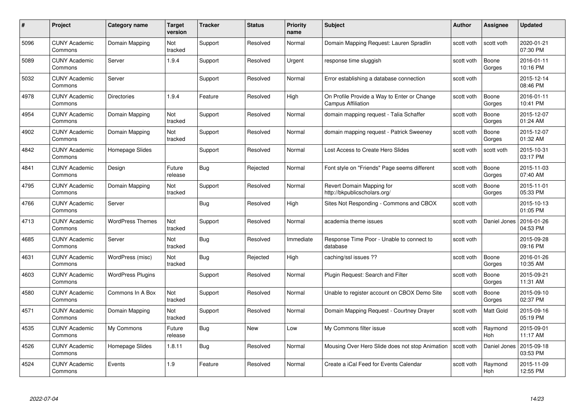| #    | Project                         | Category name            | Target<br>version | <b>Tracker</b> | <b>Status</b> | <b>Priority</b><br>name | <b>Subject</b>                                                           | Author     | <b>Assignee</b>       | <b>Updated</b>         |
|------|---------------------------------|--------------------------|-------------------|----------------|---------------|-------------------------|--------------------------------------------------------------------------|------------|-----------------------|------------------------|
| 5096 | <b>CUNY Academic</b><br>Commons | Domain Mapping           | Not<br>tracked    | Support        | Resolved      | Normal                  | Domain Mapping Request: Lauren Spradlin                                  | scott voth | scott voth            | 2020-01-21<br>07:30 PM |
| 5089 | <b>CUNY Academic</b><br>Commons | Server                   | 1.9.4             | Support        | Resolved      | Urgent                  | response time sluggish                                                   | scott voth | Boone<br>Gorges       | 2016-01-11<br>10:16 PM |
| 5032 | <b>CUNY Academic</b><br>Commons | Server                   |                   | Support        | Resolved      | Normal                  | Error establishing a database connection                                 | scott voth |                       | 2015-12-14<br>08:46 PM |
| 4978 | <b>CUNY Academic</b><br>Commons | <b>Directories</b>       | 1.9.4             | Feature        | Resolved      | High                    | On Profile Provide a Way to Enter or Change<br><b>Campus Affiliation</b> | scott voth | Boone<br>Gorges       | 2016-01-11<br>10:41 PM |
| 4954 | <b>CUNY Academic</b><br>Commons | Domain Mapping           | Not<br>tracked    | Support        | Resolved      | Normal                  | domain mapping request - Talia Schaffer                                  | scott voth | Boone<br>Gorges       | 2015-12-07<br>01:24 AM |
| 4902 | <b>CUNY Academic</b><br>Commons | Domain Mapping           | Not<br>tracked    | Support        | Resolved      | Normal                  | domain mapping request - Patrick Sweeney                                 | scott voth | Boone<br>Gorges       | 2015-12-07<br>01:32 AM |
| 4842 | <b>CUNY Academic</b><br>Commons | Homepage Slides          |                   | Support        | Resolved      | Normal                  | Lost Access to Create Hero Slides                                        | scott voth | scott voth            | 2015-10-31<br>03:17 PM |
| 4841 | <b>CUNY Academic</b><br>Commons | Design                   | Future<br>release | Bug            | Rejected      | Normal                  | Font style on "Friends" Page seems different                             | scott voth | Boone<br>Gorges       | 2015-11-03<br>07:40 AM |
| 4795 | <b>CUNY Academic</b><br>Commons | Domain Mapping           | Not<br>tracked    | Support        | Resolved      | Normal                  | Revert Domain Mapping for<br>http://bkpublicscholars.org/                | scott voth | Boone<br>Gorges       | 2015-11-01<br>05:33 PM |
| 4766 | <b>CUNY Academic</b><br>Commons | Server                   |                   | <b>Bug</b>     | Resolved      | High                    | Sites Not Responding - Commons and CBOX                                  | scott voth |                       | 2015-10-13<br>01:05 PM |
| 4713 | <b>CUNY Academic</b><br>Commons | <b>WordPress Themes</b>  | Not<br>tracked    | Support        | Resolved      | Normal                  | academia theme issues                                                    | scott voth | Daniel Jones          | 2016-01-26<br>04:53 PM |
| 4685 | <b>CUNY Academic</b><br>Commons | Server                   | Not<br>tracked    | <b>Bug</b>     | Resolved      | Immediate               | Response Time Poor - Unable to connect to<br>database                    | scott voth |                       | 2015-09-28<br>09:16 PM |
| 4631 | <b>CUNY Academic</b><br>Commons | WordPress (misc)         | Not<br>tracked    | <b>Bug</b>     | Rejected      | High                    | caching/ssl issues ??                                                    | scott voth | Boone<br>Gorges       | 2016-01-26<br>10:35 AM |
| 4603 | <b>CUNY Academic</b><br>Commons | <b>WordPress Plugins</b> |                   | Support        | Resolved      | Normal                  | Plugin Request: Search and Filter                                        | scott voth | Boone<br>Gorges       | 2015-09-21<br>11:31 AM |
| 4580 | <b>CUNY Academic</b><br>Commons | Commons In A Box         | Not<br>tracked    | Support        | Resolved      | Normal                  | Unable to register account on CBOX Demo Site                             | scott voth | Boone<br>Gorges       | 2015-09-10<br>02:37 PM |
| 4571 | <b>CUNY Academic</b><br>Commons | Domain Mapping           | Not<br>tracked    | Support        | Resolved      | Normal                  | Domain Mapping Request - Courtney Drayer                                 | scott voth | <b>Matt Gold</b>      | 2015-09-16<br>05:19 PM |
| 4535 | <b>CUNY Academic</b><br>Commons | My Commons               | Future<br>release | Bug            | <b>New</b>    | Low                     | My Commons filter issue                                                  | scott voth | Raymond<br><b>Hoh</b> | 2015-09-01<br>11:17 AM |
| 4526 | <b>CUNY Academic</b><br>Commons | Homepage Slides          | 1.8.11            | <b>Bug</b>     | Resolved      | Normal                  | Mousing Over Hero Slide does not stop Animation                          | scott voth | Daniel Jones          | 2015-09-18<br>03:53 PM |
| 4524 | <b>CUNY Academic</b><br>Commons | Events                   | 1.9               | Feature        | Resolved      | Normal                  | Create a iCal Feed for Events Calendar                                   | scott voth | Raymond<br>Hoh        | 2015-11-09<br>12:55 PM |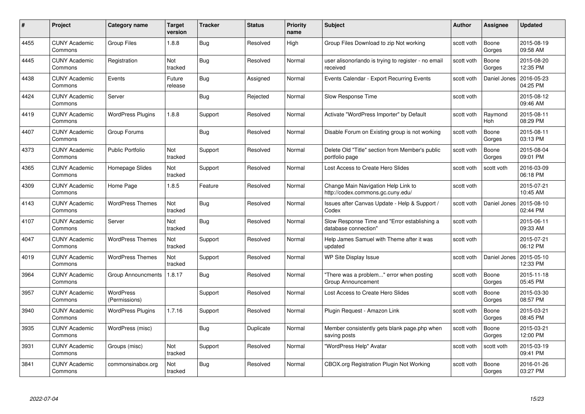| #    | Project                         | <b>Category name</b>       | Target<br>version | <b>Tracker</b> | <b>Status</b> | <b>Priority</b><br>name | <b>Subject</b>                                                           | <b>Author</b> | <b>Assignee</b> | <b>Updated</b>         |
|------|---------------------------------|----------------------------|-------------------|----------------|---------------|-------------------------|--------------------------------------------------------------------------|---------------|-----------------|------------------------|
| 4455 | <b>CUNY Academic</b><br>Commons | <b>Group Files</b>         | 1.8.8             | <b>Bug</b>     | Resolved      | High                    | Group Files Download to zip Not working                                  | scott voth    | Boone<br>Gorges | 2015-08-19<br>09:58 AM |
| 4445 | <b>CUNY Academic</b><br>Commons | Registration               | Not<br>tracked    | Bug            | Resolved      | Normal                  | user alisonorlando is trying to register - no email<br>received          | scott voth    | Boone<br>Gorges | 2015-08-20<br>12:35 PM |
| 4438 | <b>CUNY Academic</b><br>Commons | Events                     | Future<br>release | Bug            | Assigned      | Normal                  | Events Calendar - Export Recurring Events                                | scott voth    | Daniel Jones    | 2016-05-23<br>04:25 PM |
| 4424 | <b>CUNY Academic</b><br>Commons | Server                     |                   | Bug            | Rejected      | Normal                  | Slow Response Time                                                       | scott voth    |                 | 2015-08-12<br>09:46 AM |
| 4419 | <b>CUNY Academic</b><br>Commons | <b>WordPress Plugins</b>   | 1.8.8             | Support        | Resolved      | Normal                  | Activate "WordPress Importer" by Default                                 | scott voth    | Raymond<br>Hoh  | 2015-08-11<br>08:29 PM |
| 4407 | <b>CUNY Academic</b><br>Commons | Group Forums               |                   | Bug            | Resolved      | Normal                  | Disable Forum on Existing group is not working                           | scott voth    | Boone<br>Gorges | 2015-08-11<br>03:13 PM |
| 4373 | <b>CUNY Academic</b><br>Commons | <b>Public Portfolio</b>    | Not<br>tracked    | Support        | Resolved      | Normal                  | Delete Old "Title" section from Member's public<br>portfolio page        | scott voth    | Boone<br>Gorges | 2015-08-04<br>09:01 PM |
| 4365 | <b>CUNY Academic</b><br>Commons | Homepage Slides            | Not<br>tracked    | Support        | Resolved      | Normal                  | Lost Access to Create Hero Slides                                        | scott voth    | scott voth      | 2016-03-09<br>06:18 PM |
| 4309 | <b>CUNY Academic</b><br>Commons | Home Page                  | 1.8.5             | Feature        | Resolved      | Normal                  | Change Main Navigation Help Link to<br>http://codex.commons.gc.cuny.edu/ | scott voth    |                 | 2015-07-21<br>10:45 AM |
| 4143 | <b>CUNY Academic</b><br>Commons | <b>WordPress Themes</b>    | Not<br>tracked    | Bug            | Resolved      | Normal                  | Issues after Canvas Update - Help & Support /<br>Codex                   | scott voth    | Daniel Jones    | 2015-08-10<br>02:44 PM |
| 4107 | <b>CUNY Academic</b><br>Commons | Server                     | Not<br>tracked    | <b>Bug</b>     | Resolved      | Normal                  | Slow Response Time and "Error establishing a<br>database connection"     | scott voth    |                 | 2015-06-11<br>09:33 AM |
| 4047 | <b>CUNY Academic</b><br>Commons | <b>WordPress Themes</b>    | Not<br>tracked    | Support        | Resolved      | Normal                  | Help James Samuel with Theme after it was<br>updated                     | scott voth    |                 | 2015-07-21<br>06:12 PM |
| 4019 | <b>CUNY Academic</b><br>Commons | <b>WordPress Themes</b>    | Not<br>tracked    | Support        | Resolved      | Normal                  | WP Site Display Issue                                                    | scott voth    | Daniel Jones    | 2015-05-10<br>12:33 PM |
| 3964 | <b>CUNY Academic</b><br>Commons | <b>Group Announcments</b>  | 1.8.17            | Bug            | Resolved      | Normal                  | "There was a problem" error when posting<br>Group Announcement           | scott voth    | Boone<br>Gorges | 2015-11-18<br>05:45 PM |
| 3957 | CUNY Academic<br>Commons        | WordPress<br>(Permissions) |                   | Support        | Resolved      | Normal                  | Lost Access to Create Hero Slides                                        | scott voth    | Boone<br>Gorges | 2015-03-30<br>08:57 PM |
| 3940 | <b>CUNY Academic</b><br>Commons | <b>WordPress Plugins</b>   | 1.7.16            | Support        | Resolved      | Normal                  | Plugin Request - Amazon Link                                             | scott voth    | Boone<br>Gorges | 2015-03-21<br>08:45 PM |
| 3935 | <b>CUNY Academic</b><br>Commons | WordPress (misc)           |                   | Bug            | Duplicate     | Normal                  | Member consistently gets blank page.php when<br>saving posts             | scott voth    | Boone<br>Gorges | 2015-03-21<br>12:00 PM |
| 3931 | <b>CUNY Academic</b><br>Commons | Groups (misc)              | Not<br>tracked    | Support        | Resolved      | Normal                  | "WordPress Help" Avatar                                                  | scott voth    | scott voth      | 2015-03-19<br>09:41 PM |
| 3841 | CUNY Academic<br>Commons        | commonsinabox.org          | Not<br>tracked    | <b>Bug</b>     | Resolved      | Normal                  | CBOX.org Registration Plugin Not Working                                 | scott voth    | Boone<br>Gorges | 2016-01-26<br>03:27 PM |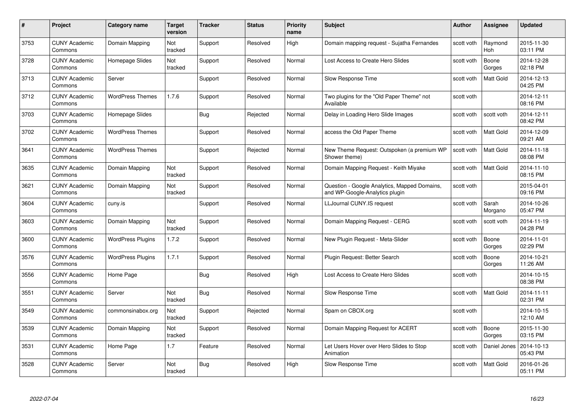| #    | Project                         | Category name            | Target<br>version | <b>Tracker</b> | <b>Status</b> | <b>Priority</b><br>name | <b>Subject</b>                                                                 | Author     | Assignee              | <b>Updated</b>         |
|------|---------------------------------|--------------------------|-------------------|----------------|---------------|-------------------------|--------------------------------------------------------------------------------|------------|-----------------------|------------------------|
| 3753 | <b>CUNY Academic</b><br>Commons | Domain Mapping           | Not<br>tracked    | Support        | Resolved      | High                    | Domain mapping request - Sujatha Fernandes                                     | scott voth | Raymond<br><b>Hoh</b> | 2015-11-30<br>03:11 PM |
| 3728 | <b>CUNY Academic</b><br>Commons | Homepage Slides          | Not<br>tracked    | Support        | Resolved      | Normal                  | Lost Access to Create Hero Slides                                              | scott voth | Boone<br>Gorges       | 2014-12-28<br>02:18 PM |
| 3713 | <b>CUNY Academic</b><br>Commons | Server                   |                   | Support        | Resolved      | Normal                  | Slow Response Time                                                             | scott voth | Matt Gold             | 2014-12-13<br>04:25 PM |
| 3712 | <b>CUNY Academic</b><br>Commons | <b>WordPress Themes</b>  | 1.7.6             | Support        | Resolved      | Normal                  | Two plugins for the "Old Paper Theme" not<br>Available                         | scott voth |                       | 2014-12-11<br>08:16 PM |
| 3703 | <b>CUNY Academic</b><br>Commons | Homepage Slides          |                   | Bug            | Rejected      | Normal                  | Delay in Loading Hero Slide Images                                             | scott voth | scott voth            | 2014-12-11<br>08:42 PM |
| 3702 | <b>CUNY Academic</b><br>Commons | <b>WordPress Themes</b>  |                   | Support        | Resolved      | Normal                  | access the Old Paper Theme                                                     | scott voth | <b>Matt Gold</b>      | 2014-12-09<br>09:21 AM |
| 3641 | <b>CUNY Academic</b><br>Commons | <b>WordPress Themes</b>  |                   | Support        | Rejected      | Normal                  | New Theme Request: Outspoken (a premium WP<br>Shower theme)                    | scott voth | Matt Gold             | 2014-11-18<br>08:08 PM |
| 3635 | <b>CUNY Academic</b><br>Commons | Domain Mapping           | Not<br>tracked    | Support        | Resolved      | Normal                  | Domain Mapping Request - Keith Miyake                                          | scott voth | Matt Gold             | 2014-11-10<br>08:15 PM |
| 3621 | <b>CUNY Academic</b><br>Commons | Domain Mapping           | Not<br>tracked    | Support        | Resolved      | Normal                  | Question - Google Analytics, Mapped Domains,<br>and WP-Google-Analytics plugin | scott voth |                       | 2015-04-01<br>09:16 PM |
| 3604 | <b>CUNY Academic</b><br>Commons | cuny.is                  |                   | Support        | Resolved      | Normal                  | <b>LLJournal CUNY.IS request</b>                                               | scott voth | Sarah<br>Morgano      | 2014-10-26<br>05:47 PM |
| 3603 | <b>CUNY Academic</b><br>Commons | Domain Mapping           | Not<br>tracked    | Support        | Resolved      | Normal                  | Domain Mapping Request - CERG                                                  | scott voth | scott voth            | 2014-11-19<br>04:28 PM |
| 3600 | <b>CUNY Academic</b><br>Commons | <b>WordPress Plugins</b> | 1.7.2             | Support        | Resolved      | Normal                  | New Plugin Request - Meta-Slider                                               | scott voth | Boone<br>Gorges       | 2014-11-01<br>02:29 PM |
| 3576 | <b>CUNY Academic</b><br>Commons | <b>WordPress Plugins</b> | 1.7.1             | Support        | Resolved      | Normal                  | Plugin Request: Better Search                                                  | scott voth | Boone<br>Gorges       | 2014-10-21<br>11:26 AM |
| 3556 | <b>CUNY Academic</b><br>Commons | Home Page                |                   | <b>Bug</b>     | Resolved      | High                    | Lost Access to Create Hero Slides                                              | scott voth |                       | 2014-10-15<br>08:38 PM |
| 3551 | <b>CUNY Academic</b><br>Commons | Server                   | Not<br>tracked    | Bug            | Resolved      | Normal                  | Slow Response Time                                                             | scott voth | Matt Gold             | 2014-11-11<br>02:31 PM |
| 3549 | <b>CUNY Academic</b><br>Commons | commonsinabox.org        | Not<br>tracked    | Support        | Rejected      | Normal                  | Spam on CBOX.org                                                               | scott voth |                       | 2014-10-15<br>12:10 AM |
| 3539 | <b>CUNY Academic</b><br>Commons | Domain Mapping           | Not<br>tracked    | Support        | Resolved      | Normal                  | Domain Mapping Request for ACERT                                               | scott voth | Boone<br>Gorges       | 2015-11-30<br>03:15 PM |
| 3531 | <b>CUNY Academic</b><br>Commons | Home Page                | 1.7               | Feature        | Resolved      | Normal                  | Let Users Hover over Hero Slides to Stop<br>Animation                          | scott voth | Daniel Jones          | 2014-10-13<br>05:43 PM |
| 3528 | <b>CUNY Academic</b><br>Commons | Server                   | Not<br>tracked    | <b>Bug</b>     | Resolved      | High                    | Slow Response Time                                                             | scott voth | <b>Matt Gold</b>      | 2016-01-26<br>05:11 PM |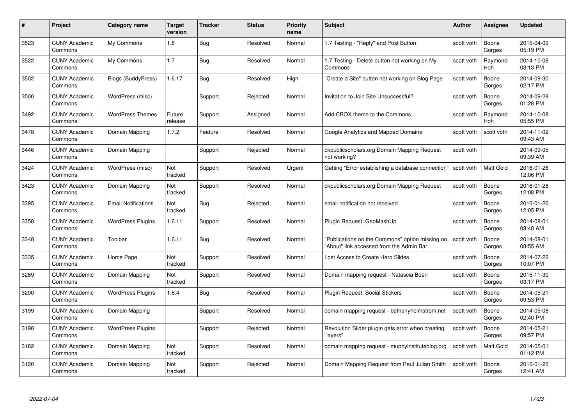| #    | Project                         | Category name              | Target<br>version | <b>Tracker</b> | <b>Status</b> | <b>Priority</b><br>name | <b>Subject</b>                                                                              | <b>Author</b> | <b>Assignee</b>       | <b>Updated</b>         |
|------|---------------------------------|----------------------------|-------------------|----------------|---------------|-------------------------|---------------------------------------------------------------------------------------------|---------------|-----------------------|------------------------|
| 3523 | <b>CUNY Academic</b><br>Commons | My Commons                 | 1.8               | Bug            | Resolved      | Normal                  | 1.7 Testing - "Reply" and Post Button                                                       | scott voth    | Boone<br>Gorges       | 2015-04-09<br>05:19 PM |
| 3522 | <b>CUNY Academic</b><br>Commons | My Commons                 | 1.7               | <b>Bug</b>     | Resolved      | Normal                  | 1.7 Testing - Delete button not working on My<br>Commons                                    | scott voth    | Raymond<br><b>Hoh</b> | 2014-10-08<br>03:13 PM |
| 3502 | <b>CUNY Academic</b><br>Commons | <b>Blogs (BuddyPress)</b>  | 1.6.17            | <b>Bug</b>     | Resolved      | High                    | "Create a Site" button not working on Blog Page                                             | scott voth    | Boone<br>Gorges       | 2014-09-30<br>02:17 PM |
| 3500 | <b>CUNY Academic</b><br>Commons | WordPress (misc)           |                   | Support        | Rejected      | Normal                  | Invitation to Join Site Unsuccessful?                                                       | scott voth    | Boone<br>Gorges       | 2014-09-28<br>01:28 PM |
| 3492 | <b>CUNY Academic</b><br>Commons | <b>WordPress Themes</b>    | Future<br>release | Support        | Assigned      | Normal                  | Add CBOX theme to the Commons                                                               | scott voth    | Raymond<br>Hoh        | 2014-10-08<br>05:55 PM |
| 3478 | <b>CUNY Academic</b><br>Commons | Domain Mapping             | 1.7.2             | Feature        | Resolved      | Normal                  | Google Analytics and Mapped Domains                                                         | scott voth    | scott voth            | 2014-11-02<br>09:43 AM |
| 3446 | <b>CUNY Academic</b><br>Commons | Domain Mapping             |                   | Support        | Rejected      | Normal                  | bkpublicscholars.org Domain Mapping Request<br>not working?                                 | scott voth    |                       | 2014-09-05<br>09:39 AM |
| 3424 | <b>CUNY Academic</b><br>Commons | WordPress (misc)           | Not<br>tracked    | Support        | Resolved      | Urgent                  | Getting "Error establishing a database connection"                                          | scott voth    | Matt Gold             | 2016-01-26<br>12:06 PM |
| 3423 | <b>CUNY Academic</b><br>Commons | Domain Mapping             | Not<br>tracked    | Support        | Resolved      | Normal                  | bkpublicscholars.org Domain Mapping Request                                                 | scott voth    | Boone<br>Gorges       | 2016-01-26<br>12:08 PM |
| 3395 | <b>CUNY Academic</b><br>Commons | <b>Email Notifications</b> | Not<br>tracked    | <b>Bug</b>     | Rejected      | Normal                  | email notification not received                                                             | scott voth    | Boone<br>Gorges       | 2016-01-26<br>12:05 PM |
| 3358 | <b>CUNY Academic</b><br>Commons | <b>WordPress Plugins</b>   | 1.6.11            | Support        | Resolved      | Normal                  | Plugin Request: GeoMashUp                                                                   | scott voth    | Boone<br>Gorges       | 2014-08-01<br>08:40 AM |
| 3348 | <b>CUNY Academic</b><br>Commons | Toolbar                    | 1.6.11            | <b>Bug</b>     | Resolved      | Normal                  | "Publications on the Commons" option missing on<br>"About" link accessed from the Admin Bar | scott voth    | Boone<br>Gorges       | 2014-08-01<br>08:55 AM |
| 3335 | <b>CUNY Academic</b><br>Commons | Home Page                  | Not<br>tracked    | Support        | Resolved      | Normal                  | Lost Access to Create Hero Slides                                                           | scott voth    | Boone<br>Gorges       | 2014-07-22<br>10:07 PM |
| 3269 | <b>CUNY Academic</b><br>Commons | Domain Mapping             | Not<br>tracked    | Support        | Resolved      | Normal                  | Domain mapping request - Natascia Boeri                                                     | scott voth    | Boone<br>Gorges       | 2015-11-30<br>03:17 PM |
| 3200 | <b>CUNY Academic</b><br>Commons | <b>WordPress Plugins</b>   | 1.6.4             | Bug            | Resolved      | Normal                  | Plugin Request: Social Stickers                                                             | scott voth    | Boone<br>Gorges       | 2014-05-21<br>09:53 PM |
| 3199 | <b>CUNY Academic</b><br>Commons | Domain Mapping             |                   | Support        | Resolved      | Normal                  | domain mapping request - bethanyholmstrom.net                                               | scott voth    | Boone<br>Gorges       | 2014-05-08<br>02:40 PM |
| 3198 | <b>CUNY Academic</b><br>Commons | <b>WordPress Plugins</b>   |                   | Support        | Rejected      | Normal                  | Revolution Slider plugin gets error when creating<br>"lavers"                               | scott voth    | Boone<br>Gorges       | 2014-05-21<br>09:57 PM |
| 3182 | <b>CUNY Academic</b><br>Commons | Domain Mapping             | Not<br>tracked    | Support        | Resolved      | Normal                  | domain mapping request - muphyinstituteblog.org                                             | scott voth    | Matt Gold             | 2014-05-01<br>01:12 PM |
| 3120 | CUNY Academic<br>Commons        | Domain Mapping             | Not<br>tracked    | Support        | Rejected      | Normal                  | Domain Mapping Request from Paul Julian Smith                                               | scott voth    | Boone<br>Gorges       | 2016-01-26<br>12:41 AM |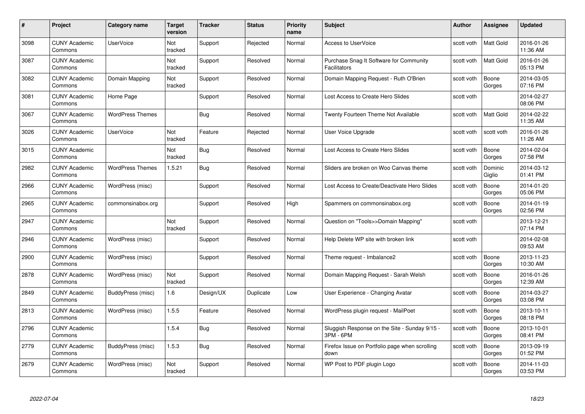| #    | Project                         | <b>Category name</b>    | Target<br>version | <b>Tracker</b> | <b>Status</b> | <b>Priority</b><br>name | <b>Subject</b>                                                 | <b>Author</b> | <b>Assignee</b>   | <b>Updated</b>         |
|------|---------------------------------|-------------------------|-------------------|----------------|---------------|-------------------------|----------------------------------------------------------------|---------------|-------------------|------------------------|
| 3098 | <b>CUNY Academic</b><br>Commons | <b>UserVoice</b>        | Not<br>tracked    | Support        | Rejected      | Normal                  | <b>Access to UserVoice</b>                                     | scott voth    | <b>Matt Gold</b>  | 2016-01-26<br>11:36 AM |
| 3087 | <b>CUNY Academic</b><br>Commons |                         | Not<br>tracked    | Support        | Resolved      | Normal                  | Purchase Snag It Software for Community<br><b>Facilitators</b> | scott voth    | <b>Matt Gold</b>  | 2016-01-26<br>05:13 PM |
| 3082 | <b>CUNY Academic</b><br>Commons | Domain Mapping          | Not<br>tracked    | Support        | Resolved      | Normal                  | Domain Mapping Request - Ruth O'Brien                          | scott voth    | Boone<br>Gorges   | 2014-03-05<br>07:16 PM |
| 3081 | <b>CUNY Academic</b><br>Commons | Home Page               |                   | Support        | Resolved      | Normal                  | Lost Access to Create Hero Slides                              | scott voth    |                   | 2014-02-27<br>08:06 PM |
| 3067 | CUNY Academic<br>Commons        | <b>WordPress Themes</b> |                   | <b>Bug</b>     | Resolved      | Normal                  | Twenty Fourteen Theme Not Available                            | scott voth    | <b>Matt Gold</b>  | 2014-02-22<br>11:35 AM |
| 3026 | <b>CUNY Academic</b><br>Commons | <b>UserVoice</b>        | Not<br>tracked    | Feature        | Rejected      | Normal                  | User Voice Upgrade                                             | scott voth    | scott voth        | 2016-01-26<br>11:26 AM |
| 3015 | <b>CUNY Academic</b><br>Commons |                         | Not<br>tracked    | Bug            | Resolved      | Normal                  | Lost Access to Create Hero Slides                              | scott voth    | Boone<br>Gorges   | 2014-02-04<br>07:58 PM |
| 2982 | <b>CUNY Academic</b><br>Commons | <b>WordPress Themes</b> | 1.5.21            | Bug            | Resolved      | Normal                  | Sliders are broken on Woo Canvas theme                         | scott voth    | Dominic<br>Giglio | 2014-03-12<br>01:41 PM |
| 2966 | <b>CUNY Academic</b><br>Commons | WordPress (misc)        |                   | Support        | Resolved      | Normal                  | Lost Access to Create/Deactivate Hero Slides                   | scott voth    | Boone<br>Gorges   | 2014-01-20<br>05:06 PM |
| 2965 | <b>CUNY Academic</b><br>Commons | commonsinabox.org       |                   | Support        | Resolved      | High                    | Spammers on commonsinabox.org                                  | scott voth    | Boone<br>Gorges   | 2014-01-19<br>02:56 PM |
| 2947 | CUNY Academic<br>Commons        |                         | Not<br>tracked    | Support        | Resolved      | Normal                  | Question on "Tools>>Domain Mapping"                            | scott voth    |                   | 2013-12-21<br>07:14 PM |
| 2946 | <b>CUNY Academic</b><br>Commons | WordPress (misc)        |                   | Support        | Resolved      | Normal                  | Help Delete WP site with broken link                           | scott voth    |                   | 2014-02-08<br>09:53 AM |
| 2900 | <b>CUNY Academic</b><br>Commons | WordPress (misc)        |                   | Support        | Resolved      | Normal                  | Theme request - Imbalance2                                     | scott voth    | Boone<br>Gorges   | 2013-11-23<br>10:30 AM |
| 2878 | <b>CUNY Academic</b><br>Commons | WordPress (misc)        | Not<br>tracked    | Support        | Resolved      | Normal                  | Domain Mapping Request - Sarah Welsh                           | scott voth    | Boone<br>Gorges   | 2016-01-26<br>12:39 AM |
| 2849 | <b>CUNY Academic</b><br>Commons | BuddyPress (misc)       | 1.6               | Design/UX      | Duplicate     | Low                     | User Experience - Changing Avatar                              | scott voth    | Boone<br>Gorges   | 2014-03-27<br>03:08 PM |
| 2813 | <b>CUNY Academic</b><br>Commons | WordPress (misc)        | 1.5.5             | Feature        | Resolved      | Normal                  | WordPress plugin request - MailPoet                            | scott voth    | Boone<br>Gorges   | 2013-10-11<br>08:18 PM |
| 2796 | <b>CUNY Academic</b><br>Commons |                         | 1.5.4             | Bug            | Resolved      | Normal                  | Sluggish Response on the Site - Sunday 9/15 -<br>3PM - 6PM     | scott voth    | Boone<br>Gorges   | 2013-10-01<br>08:41 PM |
| 2779 | <b>CUNY Academic</b><br>Commons | BuddyPress (misc)       | 1.5.3             | <b>Bug</b>     | Resolved      | Normal                  | Firefox Issue on Portfolio page when scrolling<br>down         | scott voth    | Boone<br>Gorges   | 2013-09-19<br>01:52 PM |
| 2679 | CUNY Academic<br>Commons        | WordPress (misc)        | Not<br>tracked    | Support        | Resolved      | Normal                  | WP Post to PDF plugin Logo                                     | scott voth    | Boone<br>Gorges   | 2014-11-03<br>03:53 PM |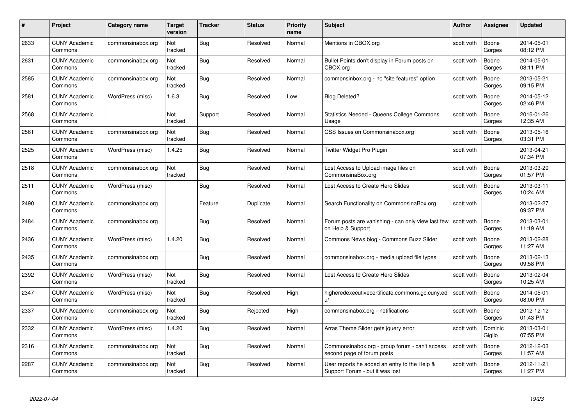| #    | Project                         | <b>Category name</b> | Target<br>version | <b>Tracker</b> | <b>Status</b> | <b>Priority</b><br>name | <b>Subject</b>                                                                  | Author     | Assignee          | <b>Updated</b>         |
|------|---------------------------------|----------------------|-------------------|----------------|---------------|-------------------------|---------------------------------------------------------------------------------|------------|-------------------|------------------------|
| 2633 | <b>CUNY Academic</b><br>Commons | commonsinabox.org    | Not<br>tracked    | Bug            | Resolved      | Normal                  | Mentions in CBOX.org                                                            | scott voth | Boone<br>Gorges   | 2014-05-01<br>08:12 PM |
| 2631 | <b>CUNY Academic</b><br>Commons | commonsinabox.org    | Not<br>tracked    | Bug            | Resolved      | Normal                  | Bullet Points don't display in Forum posts on<br>CBOX.org                       | scott voth | Boone<br>Gorges   | 2014-05-01<br>08:11 PM |
| 2585 | <b>CUNY Academic</b><br>Commons | commonsinabox.org    | Not<br>tracked    | <b>Bug</b>     | Resolved      | Normal                  | commonsinbox.org - no "site features" option                                    | scott voth | Boone<br>Gorges   | 2013-05-21<br>09:15 PM |
| 2581 | <b>CUNY Academic</b><br>Commons | WordPress (misc)     | 1.6.3             | Bug            | Resolved      | Low                     | <b>Blog Deleted?</b>                                                            | scott voth | Boone<br>Gorges   | 2014-05-12<br>02:46 PM |
| 2568 | <b>CUNY Academic</b><br>Commons |                      | Not<br>tracked    | Support        | Resolved      | Normal                  | <b>Statistics Needed - Queens College Commons</b><br>Usage                      | scott voth | Boone<br>Gorges   | 2016-01-26<br>12:35 AM |
| 2561 | <b>CUNY Academic</b><br>Commons | commonsinabox.org    | Not<br>tracked    | Bug            | Resolved      | Normal                  | CSS Issues on Commonsinabox.org                                                 | scott voth | Boone<br>Gorges   | 2013-05-16<br>03:31 PM |
| 2525 | <b>CUNY Academic</b><br>Commons | WordPress (misc)     | 1.4.25            | Bug            | Resolved      | Normal                  | Twitter Widget Pro Plugin                                                       | scott voth |                   | 2013-04-21<br>07:34 PM |
| 2518 | <b>CUNY Academic</b><br>Commons | commonsinabox.org    | Not<br>tracked    | Bug            | Resolved      | Normal                  | Lost Access to Upload image files on<br>CommonsinaBox.org                       | scott voth | Boone<br>Gorges   | 2013-03-20<br>01:57 PM |
| 2511 | <b>CUNY Academic</b><br>Commons | WordPress (misc)     |                   | Bug            | Resolved      | Normal                  | Lost Access to Create Hero Slides                                               | scott voth | Boone<br>Gorges   | 2013-03-11<br>10:24 AM |
| 2490 | <b>CUNY Academic</b><br>Commons | commonsinabox.org    |                   | Feature        | Duplicate     | Normal                  | Search Functionality on CommonsinaBox.org                                       | scott voth |                   | 2013-02-27<br>09:37 PM |
| 2484 | <b>CUNY Academic</b><br>Commons | commonsinabox.org    |                   | Bug            | Resolved      | Normal                  | Forum posts are vanishing - can only view last few<br>on Help & Support         | scott voth | Boone<br>Gorges   | 2013-03-01<br>11:19 AM |
| 2436 | <b>CUNY Academic</b><br>Commons | WordPress (misc)     | 1.4.20            | Bug            | Resolved      | Normal                  | Commons News blog - Commons Buzz Slider                                         | scott voth | Boone<br>Gorges   | 2013-02-28<br>11:27 AM |
| 2435 | <b>CUNY Academic</b><br>Commons | commonsinabox.org    |                   | Bug            | Resolved      | Normal                  | commonsinabox.org - media upload file types                                     | scott voth | Boone<br>Gorges   | 2013-02-13<br>09:58 PM |
| 2392 | <b>CUNY Academic</b><br>Commons | WordPress (misc)     | Not<br>tracked    | Bug            | Resolved      | Normal                  | Lost Access to Create Hero Slides                                               | scott voth | Boone<br>Gorges   | 2013-02-04<br>10:25 AM |
| 2347 | <b>CUNY Academic</b><br>Commons | WordPress (misc)     | Not<br>tracked    | Bug            | Resolved      | High                    | higheredexecutivecertificate.commons.gc.cuny.ed<br>$\mathsf{u}/$                | scott voth | Boone<br>Gorges   | 2014-05-01<br>08:00 PM |
| 2337 | <b>CUNY Academic</b><br>Commons | commonsinabox.org    | Not<br>tracked    | <b>Bug</b>     | Rejected      | High                    | commonsinabox.org - notifications                                               | scott voth | Boone<br>Gorges   | 2012-12-12<br>01:43 PM |
| 2332 | <b>CUNY Academic</b><br>Commons | WordPress (misc)     | 1.4.20            | Bug            | Resolved      | Normal                  | Arras Theme Slider gets jquery error                                            | scott voth | Dominic<br>Giglio | 2013-03-01<br>07:55 PM |
| 2316 | <b>CUNY Academic</b><br>Commons | commonsinabox.org    | Not<br>tracked    | Bug            | Resolved      | Normal                  | Commonsinabox.org - group forum - can't access<br>second page of forum posts    | scott voth | Boone<br>Gorges   | 2012-12-03<br>11:57 AM |
| 2287 | CUNY Academic<br>Commons        | commonsinabox.org    | Not<br>tracked    | <b>Bug</b>     | Resolved      | Normal                  | User reports he added an entry to the Help &<br>Support Forum - but it was lost | scott voth | Boone<br>Gorges   | 2012-11-21<br>11:27 PM |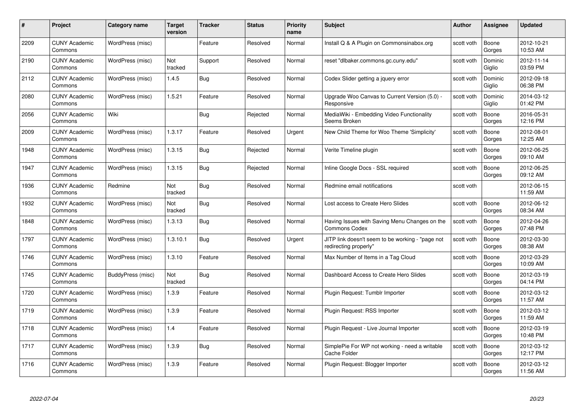| #    | Project                         | <b>Category name</b> | Target<br>version | <b>Tracker</b> | <b>Status</b> | <b>Priority</b><br>name | <b>Subject</b>                                                            | <b>Author</b> | <b>Assignee</b>   | <b>Updated</b>         |
|------|---------------------------------|----------------------|-------------------|----------------|---------------|-------------------------|---------------------------------------------------------------------------|---------------|-------------------|------------------------|
| 2209 | <b>CUNY Academic</b><br>Commons | WordPress (misc)     |                   | Feature        | Resolved      | Normal                  | Install Q & A Plugin on Commonsinabox.org                                 | scott voth    | Boone<br>Gorges   | 2012-10-21<br>10:53 AM |
| 2190 | <b>CUNY Academic</b><br>Commons | WordPress (misc)     | Not<br>tracked    | Support        | Resolved      | Normal                  | reset "dlbaker.commons.gc.cuny.edu"                                       | scott voth    | Dominic<br>Giglio | 2012-11-14<br>03:59 PM |
| 2112 | <b>CUNY Academic</b><br>Commons | WordPress (misc)     | 1.4.5             | <b>Bug</b>     | Resolved      | Normal                  | Codex Slider getting a jquery error                                       | scott voth    | Dominic<br>Giglio | 2012-09-18<br>06:38 PM |
| 2080 | <b>CUNY Academic</b><br>Commons | WordPress (misc)     | 1.5.21            | Feature        | Resolved      | Normal                  | Upgrade Woo Canvas to Current Version (5.0) -<br>Responsive               | scott voth    | Dominic<br>Giglio | 2014-03-12<br>01:42 PM |
| 2056 | <b>CUNY Academic</b><br>Commons | Wiki                 |                   | Bug            | Rejected      | Normal                  | MediaWiki - Embedding Video Functionality<br>Seems Broken                 | scott voth    | Boone<br>Gorges   | 2016-05-31<br>12:16 PM |
| 2009 | <b>CUNY Academic</b><br>Commons | WordPress (misc)     | 1.3.17            | Feature        | Resolved      | Urgent                  | New Child Theme for Woo Theme 'Simplicity'                                | scott voth    | Boone<br>Gorges   | 2012-08-01<br>12:25 AM |
| 1948 | <b>CUNY Academic</b><br>Commons | WordPress (misc)     | 1.3.15            | Bug            | Rejected      | Normal                  | Verite Timeline plugin                                                    | scott voth    | Boone<br>Gorges   | 2012-06-25<br>09:10 AM |
| 1947 | <b>CUNY Academic</b><br>Commons | WordPress (misc)     | 1.3.15            | <b>Bug</b>     | Rejected      | Normal                  | Inline Google Docs - SSL required                                         | scott voth    | Boone<br>Gorges   | 2012-06-25<br>09:12 AM |
| 1936 | <b>CUNY Academic</b><br>Commons | Redmine              | Not<br>tracked    | Bug            | Resolved      | Normal                  | Redmine email notifications                                               | scott voth    |                   | 2012-06-15<br>11:59 AM |
| 1932 | <b>CUNY Academic</b><br>Commons | WordPress (misc)     | Not<br>tracked    | <b>Bug</b>     | Resolved      | Normal                  | Lost access to Create Hero Slides                                         | scott voth    | Boone<br>Gorges   | 2012-06-12<br>08:34 AM |
| 1848 | CUNY Academic<br>Commons        | WordPress (misc)     | 1.3.13            | Bug            | Resolved      | Normal                  | Having Issues with Saving Menu Changes on the<br><b>Commons Codex</b>     | scott voth    | Boone<br>Gorges   | 2012-04-26<br>07:48 PM |
| 1797 | <b>CUNY Academic</b><br>Commons | WordPress (misc)     | 1.3.10.1          | Bug            | Resolved      | Urgent                  | JITP link doesn't seem to be working - "page not<br>redirecting properly" | scott voth    | Boone<br>Gorges   | 2012-03-30<br>08:38 AM |
| 1746 | <b>CUNY Academic</b><br>Commons | WordPress (misc)     | 1.3.10            | Feature        | Resolved      | Normal                  | Max Number of Items in a Tag Cloud                                        | scott voth    | Boone<br>Gorges   | 2012-03-29<br>10:09 AM |
| 1745 | <b>CUNY Academic</b><br>Commons | BuddyPress (misc)    | Not<br>tracked    | <b>Bug</b>     | Resolved      | Normal                  | Dashboard Access to Create Hero Slides                                    | scott voth    | Boone<br>Gorges   | 2012-03-19<br>04:14 PM |
| 1720 | <b>CUNY Academic</b><br>Commons | WordPress (misc)     | 1.3.9             | Feature        | Resolved      | Normal                  | Plugin Request: Tumblr Importer                                           | scott voth    | Boone<br>Gorges   | 2012-03-12<br>11:57 AM |
| 1719 | <b>CUNY Academic</b><br>Commons | WordPress (misc)     | 1.3.9             | Feature        | Resolved      | Normal                  | Plugin Request: RSS Importer                                              | scott voth    | Boone<br>Gorges   | 2012-03-12<br>11:59 AM |
| 1718 | <b>CUNY Academic</b><br>Commons | WordPress (misc)     | 1.4               | Feature        | Resolved      | Normal                  | Plugin Request - Live Journal Importer                                    | scott voth    | Boone<br>Gorges   | 2012-03-19<br>10:48 PM |
| 1717 | <b>CUNY Academic</b><br>Commons | WordPress (misc)     | 1.3.9             | <b>Bug</b>     | Resolved      | Normal                  | SimplePie For WP not working - need a writable<br>Cache Folder            | scott voth    | Boone<br>Gorges   | 2012-03-12<br>12:17 PM |
| 1716 | <b>CUNY Academic</b><br>Commons | WordPress (misc)     | 1.3.9             | Feature        | Resolved      | Normal                  | Plugin Request: Blogger Importer                                          | scott voth    | Boone<br>Gorges   | 2012-03-12<br>11:56 AM |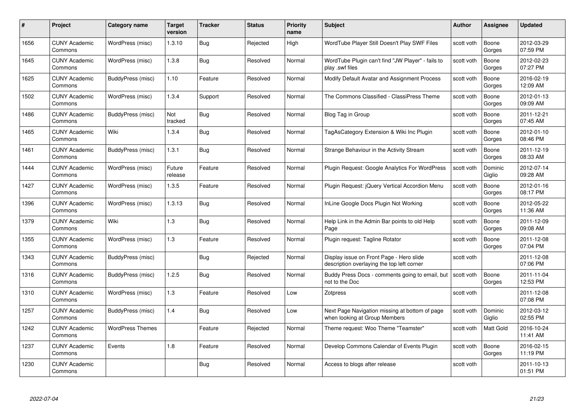| #    | Project                         | <b>Category name</b>    | Target<br>version | <b>Tracker</b> | <b>Status</b> | <b>Priority</b><br>name | <b>Subject</b>                                                                         | <b>Author</b> | Assignee          | <b>Updated</b>         |
|------|---------------------------------|-------------------------|-------------------|----------------|---------------|-------------------------|----------------------------------------------------------------------------------------|---------------|-------------------|------------------------|
| 1656 | <b>CUNY Academic</b><br>Commons | WordPress (misc)        | 1.3.10            | Bug            | Rejected      | High                    | WordTube Player Still Doesn't Play SWF Files                                           | scott voth    | Boone<br>Gorges   | 2012-03-29<br>07:59 PM |
| 1645 | <b>CUNY Academic</b><br>Commons | WordPress (misc)        | 1.3.8             | Bug            | Resolved      | Normal                  | WordTube Plugin can't find "JW Player" - fails to<br>play .swf files                   | scott voth    | Boone<br>Gorges   | 2012-02-23<br>07:27 PM |
| 1625 | <b>CUNY Academic</b><br>Commons | BuddyPress (misc)       | 1.10              | Feature        | Resolved      | Normal                  | Modify Default Avatar and Assignment Process                                           | scott voth    | Boone<br>Gorges   | 2016-02-19<br>12:09 AM |
| 1502 | <b>CUNY Academic</b><br>Commons | WordPress (misc)        | 1.3.4             | Support        | Resolved      | Normal                  | The Commons Classified - ClassiPress Theme                                             | scott voth    | Boone<br>Gorges   | 2012-01-13<br>09:09 AM |
| 1486 | <b>CUNY Academic</b><br>Commons | BuddyPress (misc)       | Not<br>tracked    | <b>Bug</b>     | Resolved      | Normal                  | Blog Tag in Group                                                                      | scott voth    | Boone<br>Gorges   | 2011-12-21<br>07:45 AM |
| 1465 | <b>CUNY Academic</b><br>Commons | Wiki                    | 1.3.4             | <b>Bug</b>     | Resolved      | Normal                  | TagAsCategory Extension & Wiki Inc Plugin                                              | scott voth    | Boone<br>Gorges   | 2012-01-10<br>08:46 PM |
| 1461 | <b>CUNY Academic</b><br>Commons | BuddyPress (misc)       | 1.3.1             | Bug            | Resolved      | Normal                  | Strange Behaviour in the Activity Stream                                               | scott voth    | Boone<br>Gorges   | 2011-12-19<br>08:33 AM |
| 1444 | <b>CUNY Academic</b><br>Commons | WordPress (misc)        | Future<br>release | Feature        | Resolved      | Normal                  | Plugin Request: Google Analytics For WordPress                                         | scott voth    | Dominic<br>Giglio | 2012-07-14<br>09:28 AM |
| 1427 | <b>CUNY Academic</b><br>Commons | WordPress (misc)        | 1.3.5             | Feature        | Resolved      | Normal                  | Plugin Request: jQuery Vertical Accordion Menu                                         | scott voth    | Boone<br>Gorges   | 2012-01-16<br>08:17 PM |
| 1396 | <b>CUNY Academic</b><br>Commons | WordPress (misc)        | 1.3.13            | <b>Bug</b>     | Resolved      | Normal                  | InLine Google Docs Plugin Not Working                                                  | scott voth    | Boone<br>Gorges   | 2012-05-22<br>11:36 AM |
| 1379 | CUNY Academic<br>Commons        | Wiki                    | 1.3               | Bug            | Resolved      | Normal                  | Help Link in the Admin Bar points to old Help<br>Page                                  | scott voth    | Boone<br>Gorges   | 2011-12-09<br>09:08 AM |
| 1355 | <b>CUNY Academic</b><br>Commons | WordPress (misc)        | $1.3$             | Feature        | Resolved      | Normal                  | Plugin request: Tagline Rotator                                                        | scott voth    | Boone<br>Gorges   | 2011-12-08<br>07:04 PM |
| 1343 | <b>CUNY Academic</b><br>Commons | BuddyPress (misc)       |                   | Bug            | Rejected      | Normal                  | Display issue on Front Page - Hero slide<br>description overlaying the top left corner | scott voth    |                   | 2011-12-08<br>07:06 PM |
| 1316 | <b>CUNY Academic</b><br>Commons | BuddyPress (misc)       | 1.2.5             | <b>Bug</b>     | Resolved      | Normal                  | Buddy Press Docs - comments going to email, but<br>not to the Doc                      | scott voth    | Boone<br>Gorges   | 2011-11-04<br>12:53 PM |
| 1310 | <b>CUNY Academic</b><br>Commons | WordPress (misc)        | $1.3$             | Feature        | Resolved      | Low                     | Zotpress                                                                               | scott voth    |                   | 2011-12-08<br>07:08 PM |
| 1257 | <b>CUNY Academic</b><br>Commons | BuddyPress (misc)       | 1.4               | Bug            | Resolved      | Low                     | Next Page Navigation missing at bottom of page<br>when looking at Group Members        | scott voth    | Dominic<br>Giglio | 2012-03-12<br>02:55 PM |
| 1242 | <b>CUNY Academic</b><br>Commons | <b>WordPress Themes</b> |                   | Feature        | Rejected      | Normal                  | Theme request: Woo Theme "Teamster"                                                    | scott voth    | Matt Gold         | 2016-10-24<br>11:41 AM |
| 1237 | <b>CUNY Academic</b><br>Commons | Events                  | 1.8               | Feature        | Resolved      | Normal                  | Develop Commons Calendar of Events Plugin                                              | scott voth    | Boone<br>Gorges   | 2016-02-15<br>11:19 PM |
| 1230 | <b>CUNY Academic</b><br>Commons |                         |                   | Bug            | Resolved      | Normal                  | Access to blogs after release                                                          | scott voth    |                   | 2011-10-13<br>01:51 PM |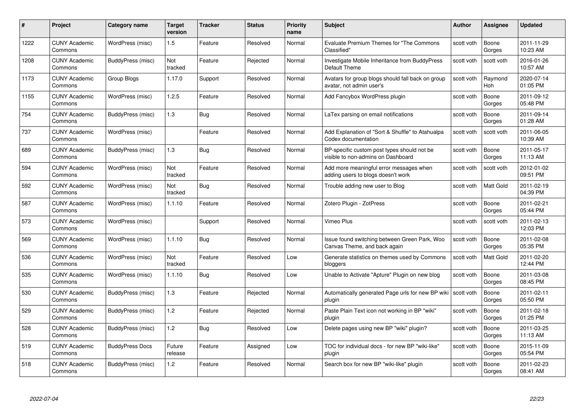| #    | Project                         | Category name          | Target<br>version | <b>Tracker</b> | <b>Status</b> | <b>Priority</b><br>name | <b>Subject</b>                                                                    | Author     | <b>Assignee</b>  | <b>Updated</b>         |
|------|---------------------------------|------------------------|-------------------|----------------|---------------|-------------------------|-----------------------------------------------------------------------------------|------------|------------------|------------------------|
| 1222 | <b>CUNY Academic</b><br>Commons | WordPress (misc)       | 1.5               | Feature        | Resolved      | Normal                  | Evaluate Premium Themes for "The Commons"<br>Classified"                          | scott voth | Boone<br>Gorges  | 2011-11-29<br>10:23 AM |
| 1208 | <b>CUNY Academic</b><br>Commons | BuddyPress (misc)      | Not<br>tracked    | Feature        | Rejected      | Normal                  | Investigate Mobile Inheritance from BuddyPress<br>Default Theme                   | scott voth | scott voth       | 2016-01-26<br>10:57 AM |
| 1173 | <b>CUNY Academic</b><br>Commons | Group Blogs            | 1.17.0            | Support        | Resolved      | Normal                  | Avatars for group blogs should fall back on group<br>avatar, not admin user's     | scott voth | Raymond<br>Hoh   | 2020-07-14<br>01:05 PM |
| 1155 | <b>CUNY Academic</b><br>Commons | WordPress (misc)       | 1.2.5             | Feature        | Resolved      | Normal                  | Add Fancybox WordPress plugin                                                     | scott voth | Boone<br>Gorges  | 2011-09-12<br>05:48 PM |
| 754  | <b>CUNY Academic</b><br>Commons | BuddyPress (misc)      | 1.3               | Bug            | Resolved      | Normal                  | LaTex parsing on email notifications                                              | scott voth | Boone<br>Gorges  | 2011-09-14<br>01:28 AM |
| 737  | <b>CUNY Academic</b><br>Commons | WordPress (misc)       |                   | Feature        | Resolved      | Normal                  | Add Explanation of "Sort & Shuffle" to Atahualpa<br>Codex documentation           | scott voth | scott voth       | 2011-06-05<br>10:39 AM |
| 689  | <b>CUNY Academic</b><br>Commons | BuddyPress (misc)      | 1.3               | Bug            | Resolved      | Normal                  | BP-specific custom post types should not be<br>visible to non-admins on Dashboard | scott voth | Boone<br>Gorges  | 2011-05-17<br>11:13 AM |
| 594  | <b>CUNY Academic</b><br>Commons | WordPress (misc)       | Not<br>tracked    | Feature        | Resolved      | Normal                  | Add more meaningful error messages when<br>adding users to blogs doesn't work     | scott voth | scott voth       | 2012-01-02<br>09:51 PM |
| 592  | <b>CUNY Academic</b><br>Commons | WordPress (misc)       | Not<br>tracked    | <b>Bug</b>     | Resolved      | Normal                  | Trouble adding new user to Blog                                                   | scott voth | Matt Gold        | 2011-02-19<br>04:39 PM |
| 587  | <b>CUNY Academic</b><br>Commons | WordPress (misc)       | 1.1.10            | Feature        | Resolved      | Normal                  | Zotero Plugin - ZotPress                                                          | scott voth | Boone<br>Gorges  | 2011-02-21<br>05:44 PM |
| 573  | <b>CUNY Academic</b><br>Commons | WordPress (misc)       |                   | Support        | Resolved      | Normal                  | Vimeo Plus                                                                        | scott voth | scott voth       | 2011-02-13<br>12:03 PM |
| 569  | <b>CUNY Academic</b><br>Commons | WordPress (misc)       | 1.1.10            | <b>Bug</b>     | Resolved      | Normal                  | Issue found switching between Green Park, Woo<br>Canvas Theme, and back again     | scott voth | Boone<br>Gorges  | 2011-02-08<br>05:35 PM |
| 536  | <b>CUNY Academic</b><br>Commons | WordPress (misc)       | Not<br>tracked    | Feature        | Resolved      | Low                     | Generate statistics on themes used by Commons<br>bloggers                         | scott voth | <b>Matt Gold</b> | 2011-02-20<br>12:44 PM |
| 535  | <b>CUNY Academic</b><br>Commons | WordPress (misc)       | 1.1.10            | <b>Bug</b>     | Resolved      | Low                     | Unable to Activate "Apture" Plugin on new blog                                    | scott voth | Boone<br>Gorges  | 2011-03-08<br>08:45 PM |
| 530  | <b>CUNY Academic</b><br>Commons | BuddyPress (misc)      | 1.3               | Feature        | Rejected      | Normal                  | Automatically generated Page urls for new BP wiki<br>plugin                       | scott voth | Boone<br>Gorges  | 2011-02-11<br>05:50 PM |
| 529  | <b>CUNY Academic</b><br>Commons | BuddyPress (misc)      | $1.2$             | Feature        | Rejected      | Normal                  | Paste Plain Text icon not working in BP "wiki"<br>plugin                          | scott voth | Boone<br>Gorges  | 2011-02-18<br>01:25 PM |
| 528  | <b>CUNY Academic</b><br>Commons | BuddyPress (misc)      | 1.2               | <b>Bug</b>     | Resolved      | Low                     | Delete pages using new BP "wiki" plugin?                                          | scott voth | Boone<br>Gorges  | 2011-03-25<br>11:13 AM |
| 519  | <b>CUNY Academic</b><br>Commons | <b>BuddyPress Docs</b> | Future<br>release | Feature        | Assigned      | Low                     | TOC for individual docs - for new BP "wiki-like"<br>plugin                        | scott voth | Boone<br>Gorges  | 2015-11-09<br>05:54 PM |
| 518  | <b>CUNY Academic</b><br>Commons | BuddyPress (misc)      | 1.2               | Feature        | Resolved      | Normal                  | Search box for new BP "wiki-like" plugin                                          | scott voth | Boone<br>Gorges  | 2011-02-23<br>08:41 AM |